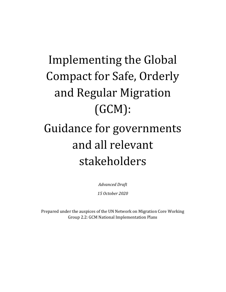# Implementing the Global Compact for Safe, Orderly and Regular Migration (GCM):

# Guidance for governments and all relevant stakeholders

*Advanced Draft 15 October 2020*

Prepared under the auspices of the UN Network on Migration Core Working Group 2.2: GCM National Implementation Plans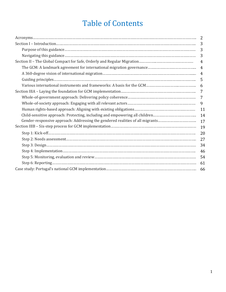## Table of Contents

|                                                                               | 3              |
|-------------------------------------------------------------------------------|----------------|
|                                                                               | 3              |
|                                                                               | 3              |
|                                                                               | 4              |
|                                                                               | $\overline{4}$ |
|                                                                               |                |
|                                                                               | 5              |
|                                                                               | 6              |
|                                                                               | 7              |
|                                                                               | 7              |
|                                                                               | 9              |
|                                                                               | 11             |
| Child-sensitive approach: Protecting, including and empowering all children   | 14             |
| Gender-responsive approach: Addressing the gendered realities of all migrants | 17             |
|                                                                               | 19             |
|                                                                               | 20             |
|                                                                               | 27             |
|                                                                               | 34             |
|                                                                               | 46             |
|                                                                               | 54             |
|                                                                               | 61             |
|                                                                               |                |
|                                                                               |                |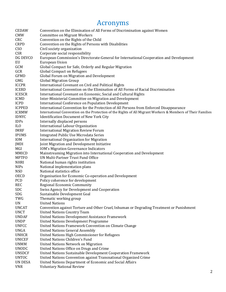## Acronyms

| <b>CEDAW</b>    | Convention on the Elimination of All Forms of Discrimination against Women                                  |
|-----------------|-------------------------------------------------------------------------------------------------------------|
| <b>CMW</b>      | <b>Committee on Migrant Workers</b>                                                                         |
| CRC             | Convention on the Rights of the Child                                                                       |
| <b>CRPD</b>     | Convention on the Rights of Persons with Disabilities                                                       |
| C <sub>SO</sub> | Civil society organization                                                                                  |
| <b>CSR</b>      | Corporate social responsibility                                                                             |
| DG DEVCO        | European Commission's Directorate-General for International Cooperation and Development                     |
| EU              | European Union                                                                                              |
| GCM             | Global Compact for Safe, Orderly and Regular Migration                                                      |
| GCR             | <b>Global Compact on Refugees</b>                                                                           |
| <b>GFMD</b>     | Global Forum on Migration and Development                                                                   |
| <b>GMG</b>      | <b>Global Migration Group</b>                                                                               |
| <b>ICCPR</b>    | International Covenant on Civil and Political Rights                                                        |
| <b>ICERD</b>    | International Convention on the Elimination of All Forms of Racial Discrimination                           |
| <b>ICESCR</b>   | International Covenant on Economic, Social and Cultural Rights                                              |
| <b>ICMD</b>     | Inter-Ministerial Committee on Migration and Development                                                    |
| <b>ICPD</b>     | <b>International Conference on Population Development</b>                                                   |
| <b>ICPPED</b>   | International Convention for the Protection of All Persons from Enforced Disappearance                      |
| <b>ICRMW</b>    | International Convention on the Protection of the Rights of All Migrant Workers & Members of Their Families |
| <b>IDNYC</b>    | <b>Identification Document of New York City</b>                                                             |
| <b>IDPs</b>     | Internally displaced persons                                                                                |
| IL <sub>0</sub> | International Labour Organization                                                                           |
| <b>IMRF</b>     | <b>International Migration Review Forum</b>                                                                 |
| <b>IPUMS</b>    | Integrated Public Use Microdata Series                                                                      |
| <b>IOM</b>      | <b>International Organization for Migration</b>                                                             |
| JMDI            | Joint Migration and Development Initiative                                                                  |
| MGI             | <b>IOM's Migration Governance Indicators</b>                                                                |
| <b>MMICD</b>    | Mainstreaming Migration into International Cooperation and Development                                      |
| <b>MPTFO</b>    | UN Multi-Partner Trust Fund Office                                                                          |
| <b>NHRI</b>     | National human rights institution                                                                           |
| <b>NIPs</b>     | National implementation plans                                                                               |
| <b>NSO</b>      | National statistics office                                                                                  |
| <b>OECD</b>     | Organisation for Economic Co-operation and Development                                                      |
| PCD             | Policy coherence for development                                                                            |
| <b>REC</b>      | <b>Regional Economic Community</b>                                                                          |
| <b>SDC</b>      | Swiss Agency for Development and Cooperation                                                                |
| SDG             | Sustainable Development Goal                                                                                |
| TWG             | Thematic working group                                                                                      |
| <b>UN</b>       | <b>United Nations</b>                                                                                       |
| <b>UNCAT</b>    | Convention against Torture and Other Cruel, Inhuman or Degrading Treatment or Punishment                    |
| <b>UNCT</b>     | <b>United Nations Country Team</b>                                                                          |
| <b>UNDAF</b>    | United Nations Development Assistance Framework                                                             |
| <b>UNDP</b>     | <b>United Nations Development Programme</b>                                                                 |
| <b>UNFCC</b>    | United Nations Framework Convention on Climate Change                                                       |
| <b>UNGA</b>     | <b>United Nations General Assembly</b>                                                                      |
| <b>UNHCR</b>    | United Nations High Commissioner for Refugees                                                               |
| <b>UNICEF</b>   | <b>United Nations Children's Fund</b>                                                                       |
| <b>UNMM</b>     | <b>United Nations Network on Migration</b>                                                                  |
| <b>UNODC</b>    | United Nations Office on Drugs and Crime                                                                    |
| <b>UNSDCF</b>   | United Nations Sustainable Development Cooperation Framework                                                |
| <b>UNTOC</b>    | United Nations Convention against Transnational Organized Crime                                             |
| <b>UN DESA</b>  | United Nations Department of Economic and Social Affairs                                                    |
| <b>VNR</b>      | <b>Voluntary National Review</b>                                                                            |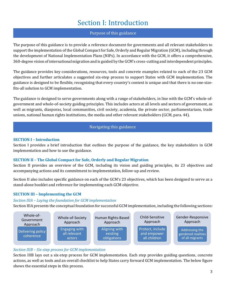## Section I: Introduction

#### Purpose of this guidance

The purpose of this guidance is to provide a reference document for governments and all relevant stakeholders to  $\frac{1}{2}$ support the implementation of the Global Compact for Safe, Orderly and Regular Migration (GCM), including through the development of National Implementation Plans (NIPs). In accordance with the GCM, it offers a comprehensive, 360-degree vision of international migration and is guided by the GCM's cross-cutting and interdependent principles.

The guidance provides key considerations, resources, tools and concrete examples related to each of the 23 GCM objectives and further articulates a suggested six-step process to support States with GCM implementation. The guidance is designed to be flexible, recognizing that every country's context is unique and that there is no one-sizefits-all solution to GCM implementation.

The guidance is designed to serve governments along with a range of stakeholders, in line with the GCM's whole-ofgovernment and whole-of-society guiding principles. This includes actors at all levels and sectors of government, as well as migrants, diasporas, local communities, civil society, academia, the private sector, parliamentarians, trade unions, national human rights institutions, the media and other relevant stakeholders (GCM, para. 44).

#### Navigating this guidance

#### **SECTION I – Introduction**

Section I provides a brief introduction that outlines the purpose of the guidance, the key stakeholders in GCM implementation and how to use the guidance.

#### **SECTION II – The Global Compact for Safe, Orderly and Regular Migration**

Section II provides an overview of the GCM, including its vision and guiding principles, its 23 objectives and accompanying actions and its commitment to implementation, follow-up and review.

Section II also includes specific guidance on each of the GCM's 23 objectives, which has been designed to serve as a stand-alone booklet and reference for implementing each GCM objective.

#### **SECTION III – Implementing the GCM**

#### *Section IIIA – Laying the foundation for GCM implementation*

Section IIIA presents the conceptual foundation for successful GCM implementation, including the following sections:



#### *Section IIIB – Six-step process for GCM implementation*

Section IIIB lays out a six-step process for GCM implementation. Each step provides guiding questions, concrete actions, as well as tools and an overall checklist to help States carry forward GCM implementation. The below figure shows the essential steps in this process.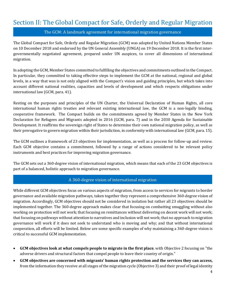## Section II: The Global Compact for Safe, Orderly and Regular Migration

The GCM: A landmark agreement for international migration governance

The Global Compact for Safe, Orderly and Regular Migration (GCM) was adopted by United Nations Member States on 10 December 2018 and endorsed by the UN General Assembly (UNGA) on 19 December 2018. It is the first intergovernmentally negotiated agreement, prepared under UN auspices, to cover all dimensions of international migration.

In adopting the GCM, Member States committed to fulfilling the objectives and commitments outlined in the Compact. In particular, they committed to taking effective steps to implement the GCM at the national, regional and global levels, in a way that was is not only aligned with the Compact's vision and guiding principles, but which takes into account different national realities, capacities and levels of development and which respects obligations under international law (GCM, para. 41).

Resting on the purposes and principles of the UN Charter, the Universal Declaration of Human Rights, all core international human rights treaties and relevant existing international law, the GCM is a non-legally binding, cooperative framework. The Compact builds on the commitments agreed by Member States in the New York Declaration for Refugees and Migrants adopted in 2016 (GCM, para. 7) and in the 2030 Agenda for Sustainable Development. It reaffirms the sovereign right of States to determine their own national migration policy, as well as their prerogative to govern migration within their jurisdiction, in conformity with international law (GCM, para. 15).

The GCM outlines a framework of 23 objectives for implementation, as well as a process for follow-up and review. Each GCM objective contains a commitment, followed by a range of actions considered to be relevant policy instruments and best practices for improving migration governance.

The GCM sets out a 360-degree vision of international migration, which means that each of the 23 GCM objectives is part of a balanced, holistic approach to migration governance.

#### A 360-degree vision of international migration

While different GCM objectives focus on various aspects of migration, from access to services for migrants to border governance and available migration pathways, taken together they represent a comprehensive 360-degree vision of migration. Accordingly, GCM objectives should not be considered in isolation but rather all 23 objectives should be implemented together. The 360-degree approach makes clear that focusing on combatting smuggling without also working on protection will not work; that focusing on remittances without delivering on decent work will not work; that focusing on pathways without attention to narratives and inclusion will not work; that no approach to migration governance will work if it does not seek to understand who is moving and why; and that without international cooperation, all efforts will be limited. Below are some specific examples of why maintaining a 360-degree vision is critical to successful GCM implementation.

- **GCM objectives look at what compels people to migrate in the first place**, with Objective 2 focusing on "the adverse drivers and structural factors that compel people to leave their country of origin."
- **GCM objectives are concerned with migrants' human rights protection and the services they can access,** from the information they receive at all stages of the migration cycle (Objective 3) and their proof of legal identity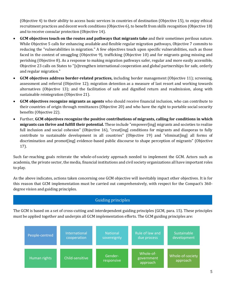(Objective 4) to their ability to access basic services in countries of destination (Objective 15), to enjoy ethical recruitment practices and decent work conditions (Objective 6), to benefit from skills recognition (Objective 18) and to receive consular protection (Objective 14).

- **GCM objectives touch on the routes and pathways that migrants take** and their sometimes perilous nature. While Objective 5 calls for enhancing available and flexible regular migration pathways, Objective 7 commits to reducing the "vulnerabilities in migration." A few objectives touch upon specific vulnerabilities, such as those faced in the context of smuggling (Objective 9), trafficking (Objective 10) and for migrants going missing and perishing (Objective 8). As a response to making migration pathways safer, regular and more easily accessible, Objective 23 calls on States to "[s]trengthen international cooperation and global partnerships for safe, orderly and regular migration."
- **GCM objectives address border-related practices,** including border management (Objective 11); screening, assessment and referral (Objective 12); migration detention as a measure of last resort and working towards alternatives (Objective 13); and the facilitation of safe and dignified return and readmission, along with sustainable reintegration (Objective 21).
- **GCM objectives recognize migrants as agents** who should receive financial inclusion, who can contribute to their countries of origin through remittances (Objective 20) and who have the right to portable social security benefits (Objective 22).
- Further, **GCM objectives recognize the positive contributions of migrants, calling for conditions in which migrants can thrive and fulfill their potential.** These include "empower[ing] migrants and societies to realize full inclusion and social cohesion" (Objective 16), "creat [ing] conditions for migrants and diasporas to fully contribute to sustainable development in all countries" (Objective 19) and "eliminat[ing] all forms of discrimination and promot[ing] evidence-based public discourse to shape perception of migrants" (Objective 17).

Such far-reaching goals reiterate the whole-of-society approach needed to implement the GCM. Actors such as academia, the private sector, the media, financial institutions and civil society organizations all have important roles to play.

As the above indicates, actions taken concerning one GCM objective will inevitably impact other objectives. It is for this reason that GCM implementation must be carried out comprehensively, with respect for the Compact's 360 degree vision and guiding principles.

#### Guiding principles

The GCM is based on a set of cross-cutting and interdependent guiding principles (GCM, para. 15). These principles must be applied together and underpin all GCM implementation efforts. The GCM guiding principles are:

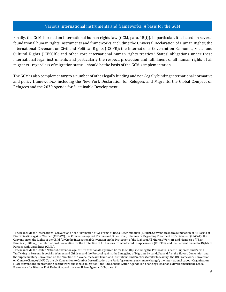#### Various international instruments and frameworks: A basis for the GCM

Finally, the GCM is based on international human rights law (GCM, para. 15(f)). In particular, it is based on several rmany, the dent is based on international numan rights law (dent, para. 19(1)). In particular, it is based on several<br>foundational human rights instruments and frameworks, including the Universal Declaration of Human Right International Covenant on Civil and Political Rights (ICCPR); the International Covenant on Economic, Social and Cultural Rights (ICESCR); and other core international human rights treaties.<sup>1</sup> States' obligations under these international legal instruments and particularly the respect, protection and fulfillment of all human rights of all migrants - regardless of migration status - should be the basis of the GCM's implementation.

The GCM is also complementary to a number of other legally binding and non-legally binding international normative and policy frameworks,<sup>2</sup> including the New York Declaration for Refugees and Migrants, the Global Compact on Refugees and the 2030 Agenda for Sustainable Development.

<sup>&</sup>lt;sup>1</sup> These include the International Convention on the Elimination of All Forms of Racial Discrimination (ICERD), Convention on the Elimination of All Forms of Discrimination against Women (CEDAW); the Convention against Torture and Other Cruel, Inhuman or Degrading Treatment or Punishment (UNCAT); the Convention on the Rights of the Child (CRC); the International Convention on the Protection of the Rights of All Migrant Workers and Members of Their Families (ICRMW); the International Convention for the Protection of All Persons from Enforced Disappearance (ICPPED); and the Convention on the Rights of Persons with Disabilities (CRPD).

<sup>2</sup> These include the United Nations Convention against Transnational Organized Crime (UNTOC), including the Protocol to Prevent, Suppress and Punish Trafficking in Persons Especially Women and Children and the Protocol against the Smuggling of Migrants by Land, Sea and Air; the Slavery Convention and the Supplementary Convention on the Abolition of Slavery, the Slave Trade, and Institutions and Practices Similar to Slavery; the UN Framework Convention on Climate Change (UNFCC); the UN Convention to Combat Desertification; the Paris Agreement (on climate change); the International Labour Organization (ILO) conventions on promoting decent work and labour migration2; theAddis Ababa Action Agenda (on financing sustainable development); the Sendai Framework for Disaster Risk Reduction; and the New Urban Agenda (GCM, para. 2).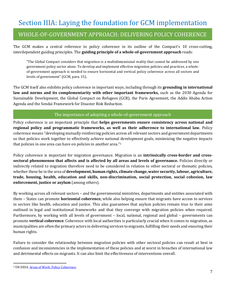## Section IIIA: Laying the foundation for GCM implementation

### WHOLE-OF-GOVERNMENT APPROACH: DELIVERING POLICY COHERENCE

The GCM makes a central reference to policy coherence in its outline of the Compact's 10 cross-cutting, interdependent guiding principles. The **guiding principle of a whole-of-government approach** reads:

"The Global Compact considers that migration is a multidimensional reality that cannot be addressed by one government policy sector alone. To develop and implement effective migration policies and practices, a wholeof-government approach is needed to ensure horizontal and vertical policy coherence across all sectors and levels of government" (GCM, para. 15).

The GCM itself also exhibits policy coherence in important ways, including through its **grounding in international law and norms and its complementarity with other important frameworks,** such as the 2030 Agenda for Sustainable Development, the Global Compact on Refugees (GCR), the Paris Agreement, the Addis Ababa Action Agenda and the Sendai Framework for Disaster Risk Reduction.

#### The importance of adopting a whole-of-government approach

Policy coherence is an important principle that **helps governments ensure consistency across national and regional policy and programmatic frameworks, as well as their adherence to international law.** Policy coherence means "developing mutually reinforcing policies across all relevant sectors and government departments so that policies work together to effectively achieve national development goals, minimizing the negative impacts that policies in one area can have on policies in another area." 3

Policy coherence is important for migration governance. Migration is an **intrinsically cross-border and crosssectoral phenomenon that affects and is affected by all areas and levels of governance.** Policies directly or indirectly related to migration therefore need to be considered in relation to other sectoral or thematic policies, whether these be in the area of **development, human rights, climate change, water security, labour, agriculture, trade, housing, health, education and skills, non-discrimination, social protection, social cohesion, law enforcement, justice or asylum** (among others).

By working across all relevant sectors – and the governmental ministries, departments and entities associated with them – States can promote **horizontal coherence,** while also helping ensure that migrants have access to services in sectors like health, education and justice. This also guarantees that asylum policies remain true to their aims outlined in legal and institutional frameworks and that they converge with migration policies when required. Furthermore, by working with all levels of government – local, national, regional and global – governments can promote **vertical coherence**. Coherence with local authorities is particularly crucial when it comes to migration, as municipalities are often the primary actors in delivering services to migrants, fulfilling their needs and ensuring their human rights.

Failure to consider the relationship between migration policies with other sectoral policies can result at best in confusion and inconsistencies in the implementation of these policies and at worst in breaches of international law and detrimental effects on migrants. It can also limit the effectiveness of interventions overall.

<sup>&</sup>lt;sup>3</sup> UN DESA. **Areas of Work: Policy Coherence**.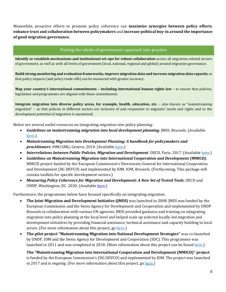Meanwhile, proactive efforts to promote policy coherence can **maximize synergies between policy efforts**, **enhance trust and collaboration between policymakers** and **increase political buy-in around the importance of good migration governance.**

#### Putting the whole-of-government approach into practice

**Identify or establish mechanisms and institutional set-ups for robust collaboration** across all migration-related sectors of government, as well as with all levels of government (local, national, regional and global) around migration governance.

**Build strong monitoring and evaluation frameworks, improve migration data and increase migration data capacity so** that policy impacts (and policy trade-offs) can be measured with greater accuracy.

**Map your country's international commitments – including international human rights law –** to ensure that policies, legislation and programmes are aligned with these commitments.

**Integrate migration into diverse policy areas, for example, health, education, etc.** – also known as "mainstreaming migration" – so that policies in different sectors are inclusive of and responsive to migrants' needs and rights and so the development potential of migration is maximized.

Below are several useful resources on integrating migration into policy planning:

- *Guidelines on mainstreaming migration into local development planning*. JMDI, Brussels. (Available [here.\)](http://www.migration4development.org/en/resources/library/guidelines-mainstreaming-migration-local-development-planning)
- *Mainstreaming Migration into Development Planning: A handbook for policymakers and practitioners.* IOM/GMG, Geneva. 2010. (Available [here.](https://publications.iom.int/es/books/mainstreaming-migration-development-planning-handbook-policy-makers-and-practitioners))
- *Interrelations between Public Policies, Migration and Development*. OECD, Paris. 2017. (Available [here.\)](https://www.oecd.org/dev/interrelations-between-public-policies-migration-and-development-9789264265615-en.htm)
- *Guidelines on Mainstreaming Migration into International Cooperation and Development (MMICD)***.**  MMICD project funded by the European Commission's Directorate-General for International Cooperation and Development (DG DEVCO) and implemented by IOM. IOM, Brussels. (Forthcoming. This package will contain toolkits for specific development sectors.)
- *Measuring Policy Coherence for Migration and Development: A New Set of Tested Tools.* OECD and UNDP, Washington, DC. 2020. (Availabl[e here.](https://www.knomad.org/publication/measuring-policy-coherence-migration-and-development-new-set-tester-tools))

Furthermore, the programmes below have focused specifically on integrating migration.

- **The Joint Migration and Development Initiative (JMDI)** was launched in 2008. JMDI was funded by the European Commission and the Swiss Agency for Development and Cooperation and implemented by UNDP Brussels in collaboration with various UN agencies. JMDI provided guidance and training on integrating migration into policy planning at the local level and helped scale up selected locally-led migration and development initiatives by providing financial assistance, technical assistance and capacity building to local actors. (For more information about this project, go [here.](http://migration4development.org/))
- **The pilot project "Mainstreaming Migration into National Development Strategies"** was co-launched by UNDP, IOM and the Swiss Agency for Development and Cooperation (SDC). This programme was launched in 2011 and was completed in 2018. (More information about this project can be found [here.\)](http://www.mainstreamingmigration.org/)

• **The "Mainstreaming Migration into International Cooperation and Development (MMICD)" project** is funded by the European Commission's (DG DEVCO) and implemented by IOM. The project was launched in 2017 and is ongoing. (For more information about this project, go [here.](https://eea.iom.int/mmicd))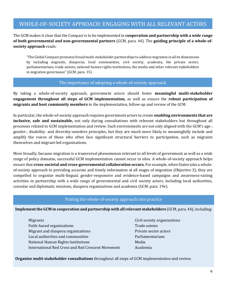### WHOLE-OF-SOCIETY APPROACH: ENGAGING WITH ALL RELEVANT ACTORS

The GCM makes it clear that the Compact is to be implemented in **cooperation and partnership with a wide range of both governmental** *and* **non-governmental partners** (GCM, para. 44). The guiding principle of a whole-of**society approach** reads:

"The Global Compact promotes broad multi-stakeholder partnerships to address migration in all its dimensions by including migrants, diasporas, local communities, civil society, academia, the private sector, parliamentarians, trade unions, national human rights institutions, the media and other relevant stakeholders in migration governance" (GCM, para. 15).

#### The importance of adopting a whole-of-society approach

By taking a whole-of-society approach, government actors should foster **meaningful multi-stakeholder engagement throughout all steps of GCM implementation,** as well as ensure the **robust participation of**  migrants and host community members in the implementation, follow-up and review of the GCM.

In particular, the whole-of-society approach requires government actors to create **enabling environments that are inclusive, safe and sustainable,** not only during consultations with relevant stakeholders but throughout all processes related to GCM implementation and review. Such environments are not only aligned with the GCM's age-, gender-, disability- and diversity-sensitive principles, but they are much more likely to meaningfully include and amplify the voices of those who often face significant structural barriers to participation, such as migrants themselves and migrant-led organizations.

More broadly, because migration is a transversal phenomenon relevant to all levels of government as well as a wide range of policy domains, successful GCM implementation cannot occur in silos. A whole-of-society approach helps ensure that **cross-societal and cross-governmental collaboration occurs.** For example, when States take a wholeof-society approach to providing accurate and timely information at all stages of migration (Objective 3), they are compelled to organize multi-lingual, gender-responsive and evidence-based campaigns and awareness-raising activities in partnership with a wide range of governmental and civil society actors, including local authorities, consular and diplomatic missions, diaspora organizations and academia (GCM, para. 19e).

#### Putting the whole-of-society approach into practice

**Implement the GCM in cooperation and partnership with all relevant stakeholders** (GCM, para. 44), including:

Migrants **Civil society organizations**  $\overline{\phantom{a}}$ Faith-based organizations Trade unions Migrant and diaspora organizations **Private sector actors** Private sector actors Local authorities and communities **Parliamentarians** Parliamentarians National Human Rights Institutions Media International Red Cross and Red Crescent Movement Academia

**Organize multi-stakeholder consultations** throughout all steps of GCM implementation and review.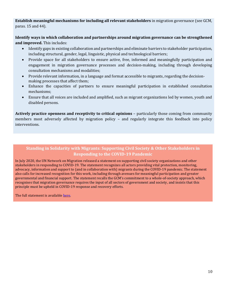**Establish meaningful mechanisms for including all relevant stakeholders** in migration governance (see GCM, paras. 15 and 44).

**Identify ways in which collaboration and partnerships around migration governance can be strengthened and improved.** This includes:

- Identify gaps in existing collaboration and partnerships and eliminate barriers to stakeholder participation, including structural, gender, legal, linguistic, physical and technological barriers;
- Provide space for all stakeholders to ensure active, free, informed and meaningfully participation and engagement in migration governance processes and decision-making, including through developing consultation mechanisms and modalities;
- Provide relevant information, in a language and format accessible to migrants, regarding the decisionmaking processes that affect them;
- Enhance the capacities of partners to ensure meaningful participation in established consultation mechanisms;
- Ensure that all voices are included and amplified, such as migrant organizations led by women, youth and disabled persons.

**Actively practice openness and receptivity to critical opinions** – particularly those coming from community members most adversely affected by migration policy – and regularly integrate this feedback into policy interventions.

#### **Standing in Solidarity with Migrants: Supporting Civil Society & Other Stakeholders in Responding to the COVID-19 Pandemic**

In July 2020, the UN Network on Migration released a statement on supporting civil society organizations and other stakeholders in responding to COVID-19. The statement recognizes all actors providing vital protection, monitoring, advocacy, information and support to (and in collaboration with) migrants during the COVID-19 pandemic. The statement also calls for increased recognition for this work, including through avenues for meaningful participation and greater governmental and financial support. The statement recalls the GCM's commitment to a whole-of-society approach, which recognises that migration governance requires the input of all sectors of government and society, and insists that this principle must be upheld in COVID-19 response and recovery efforts.

The full statement is available [here.](https://migrationnetwork.un.org/standing-solidarity-migrants-supporting-civil-society-other-stakeholders-responding-covid-19)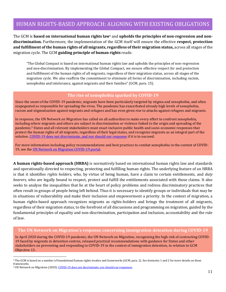### HUMAN RIGHTS-BASED APPROACH: ALIGNING WITH EXISTING OBLIGATIONS

The GCM is **based on international human rights law**<sup>4</sup> and **upholds the principles of non-regression and non-**Inc. don't is based on international namali rights-law and approach the principles of non-regression and non-<br>**discrimination**. Furthermore, the implementation of the GCM itself will ensure the effective **respect, protecti and fulfillment of the human rights of all migrants, regardless of their migration status,** across all stages of the migration cycle. The GCM **guiding principle of human rights** reads:

"The Global Compact is based on international human rights law and upholds the principles of non-regression and non-discrimination. By implementing the Global Compact, we ensure effective respect for and protection and fulfillment of the human rights of all migrants, regardless of their migration status, across all stages of the migration cycle. We also reaffirm the commitment to eliminate all forms of discrimination, including racism, xenophobia and intolerance, against migrants and their families" (GCM, para. 15).

#### **The rise of xenophobia sparked by COVID-19**

Since the onset of the COVID-19 pandemic, migrants have been particularly targeted by stigma and xenophobia, and often scapegoated as responsible for spreading the virus. The pandemic has exacerbated already high levels of xenophobia, racism and stigmatization against migrants and refugees and has even given rise to attacks against refugees and migrants.

In response, the UN Network on Migration has called on all authorities to make every effort to confront xenophobia, including where migrants and others are subject to discrimination or violence linked to the origin and spreading of the pandemic.<sup>5</sup> States and all relevant stakeholders must enact inclusive public health and socio-economic responses that protect the human rights of all migrants, regardless of their legal status, and recognize migrants as an integral part of the solution[. COVID-19 does not discriminate, and nor should our response](https://migrationnetwork.un.org/statements/covid-19-does-not-discriminate-nor-should-our-response) if it is to succeed.

For more information including policy recommendations and best practices to combat xenophobia in the context of COVID-19, see the [UN Network on Migration COVID-19 portal.](https://migrationnetwork.un.org/covid-19)

**A human rights-based approach (HRBA)** is normatively based on international human rights law and standards and operationally directed to respecting, protecting and fulfilling human rights. The underlying feature of an HRBA is that it identifies *rights holders*, who, by virtue of being human, have a claim to certain entitlements, and *duty bearers*, who are legally bound to respect, protect and fulfill the entitlements associated with those claims. It also seeks to analyse the inequalities that lie at the heart of policy problems and redress discriminatory practices that often result in groups of people being left behind. Thus it is necessary to identify groups or individuals that may be in situations of vulnerability and make their inclusion and empowerment a priority. In the context of migration, a human rights-based approach recognizes migrants as rights-holders and brings the treatment of all migrants, regardless of their migration status, to the forefront of all discussions and programming on migration, guided by the fundamental principles of equality and non-discrimination, participation and inclusion, accountability and the rule of law.

#### **The UN Network on Migration's response concerning immigration detention during COVID-19**

In April 2020 during the COVID-19 pandemic, the UN Network on Migration, recognizing the high risk of contracting COVID-19 faced by migrants in detention centres, released practical recommendations with guidance for States and other stakeholders on preventing and responding to COVID-19 in the context of immigration detention, in relation to GCM Objective 13.

<sup>4</sup> The GCM is based on a number of foundational human rights treaties and frameworks (GCM, para. 2). See footnotes 1 and 2 for more details on these frameworks.

<sup>&</sup>lt;sup>5</sup> UN Network on Migration (2020). [COVID-19 does not discriminate; nor should our responses.](https://migrationnetwork.un.org/statements/covid-19-does-not-discriminate-nor-should-our-response)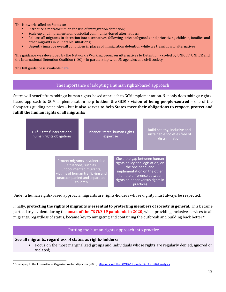The Network called on States to:

- Introduce a moratorium on the use of immigration detention:
- Scale-up and implement non-custodial community-based alternatives;
- Release all migrants in detention into alternatives, following strict safeguards and prioritizing children, families and other migrants in vulnerable situations;
- Urgently improve overall conditions in places of immigration detention while we transition to alternatives.

The guidance was developed by the Network's Working Group on Alternatives to Detention – co-led by UNICEF, UNHCR and the International Detention Coalition (IDC) – in partnership with UN agencies and civil society.

The full guidance is availabl[e here.](https://migrationnetwork.un.org/sites/default/files/docs/un_network_on_migration_wg_atd_policy_brief_covid-19_and_immigration_detention_0.pdf)

#### The importance of adopting a human rights-based approach

States will benefit from taking a human rights-based approach to GCM implementation. Not only does taking a rightsbased approach to GCM implementation help **further the GCM's vision of being people-centred** – one of the Compact's guiding principles – but **it also serves to help States meet their obligations to respect, protect and fulfill the human rights of all migrants:**



Under a human rights-based approach, migrants are rights-holders whose dignity must always be respected.

Finally, **protecting the rights of migrants is essential to protecting members of society in general.** This became particularly evident during the **onset of the** *COVID-19* **pandemic in 2020**, when providing inclusive services to all migrants, regardless of status, became key to mitigating and containing the outbreak and building back better.<sup>6</sup>

#### Putting the human rights approach into practice

**See all migrants, regardless of status, as rights-holders:**

• Focus on the most marginalized groups and individuals whose rights are regularly denied, ignored or violated;

<sup>6</sup> Guadagno, L., the International Organization for Migration (2020)[. Migrants and the COVID-19 pandemic: An initial analysis.](https://publications.iom.int/books/mrs-no-60-migrants-and-covid-19-pandemic-initial-analysis)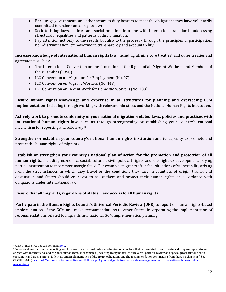- Encourage governments and other actors as duty bearers to meet the obligations they have voluntarily committed to under human rights law;
- Seek to bring laws, policies and social practices into line with international standards, addressing structural inequalities and patterns of discrimination;
- Pay attention not only to the results but also to the process through the principles of participation, non-discrimination, empowerment, transparency and accountability.

**Increase knowledge of international human rights law,** including all nine core treaties<sup>7</sup> and other treaties and agreements such as:

- The International Convention on the Protection of the Rights of all Migrant Workers and Members of their Families (1990)
- ILO Convention on Migration for Employment (No. 97)
- ILO Convention on Migrant Workers (No. 143)
- ILO Convention on Decent Work for Domestic Workers (No. 189)

**Ensure human rights knowledge and expertise in all structures for planning and overseeing GCM implementation**, including through working with relevant ministries and the National Human Rights Institution.

**Actively work to promote conformity of your national migration-related laws, policies and practices with international human rights law,** such as through strengthening or establishing your country's national mechanism for reporting and follow-up. 8

**Strengthen or establish your country's national human rights institution** and its capacity to promote and protect the human rights of migrants.

**Establish or strengthen your country's national plan of action for the promotion and protection of all human rights**, including economic, social, cultural, civil, political rights and the right to development, paying particular attention to those most marginalized. For example, migrants often face situations of vulnerability arising from the circumstances in which they travel or the conditions they face in countries of origin, transit and destination and States should endeavor to assist them and protect their human rights, in accordance with obligations under international law.

**Ensure that all migrants, regardless of status, have access to all human rights.**

**Participate in the Human Rights Council's Universal Periodic Review (UPR**) to report on human rights-based implementation of the GCM and make recommendations to other States, incorporating the implementation of recommendations related to migrants into national GCM implementation planning.

<sup>&</sup>lt;sup>7</sup> A list of these treaties can be foun[d here.](https://www.ohchr.org/EN/ProfessionalInterest/Pages/CoreInstruments.aspx)

<sup>&</sup>lt;sup>8</sup> "A national mechanism for reporting and follow-up is a national public mechanism or structure that is mandated to coordinate and prepare reports to and engage with international and regional human rights mechanisms (including treaty bodies, the universal periodic review and special procedures), and to coordinate and track national follow-up and implementation of the treaty obligations and the recommendations emanating from these mechanisms." See OHCHR (2016). [National Mechanisms for Reporting and Follow-up: A practical guide to effective state engagement with international human rights](https://www.ohchr.org/Documents/Publications/HR_PUB_16_1_NMRF_PracticalGuide.pdf)  [mechanisms.](https://www.ohchr.org/Documents/Publications/HR_PUB_16_1_NMRF_PracticalGuide.pdf)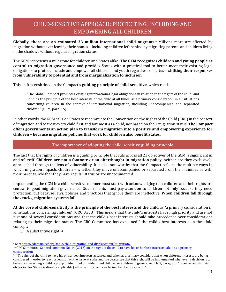## CHILD-SENSITIVE APPROACH: PROTECTING, INCLUDING AND EMPOWERING ALL CHILDREN

**Globally, there are an estimated 33 million international child migrants**. <sup>9</sup> Millions more are affected by migration without ever leaving their homes – including children left behind by migrating parents and children living in the shadows without regular migration status.

The GCM represents a milestone for children and States alike. **The GCM recognizes children and young people as central to migration governance** and provides States with a practical tool to better meet their existing legal obligations to protect, include and empower all children and youth regardless of status – **shifting their responses from vulnerability to potential and from marginalization to inclusion**.

This shift is enshrined in the Compact's **guiding principle of child-sensitive**, which reads:

"The Global Compact promotes existing international legal obligations in relation to the rights of the child, and upholds the principle of the best interests of the child at all times, as a primary consideration in all situations concerning children in the context of international migration, including unaccompanied and separated children" (GCM, para. 15).

In other words, the GCM calls on States to recommit to the Convention on the Rights of the Child (CRC) in the context of migration and to treat every child first and foremost as a child, not based on their migration status. **The Compact offers governments an action plan to transform migration into a positive and empowering experience for children – because migration policies that work for children also benefit States.**

#### The importance of adopting the child-sensitive guiding principle

The fact that the rights of children is a guiding principle that cuts across all 23 objectives of the GCM is significant in and of itself. **Children are not a footnote or an afterthought in migration policy**, neither are they exclusively approached through the lens of vulnerability. It is also noteworthy that the Compact reflects the multiple ways in approached an ough the iens or vaincrabinty. It is also noteworthy that the compact reneets the mattiple ways in<br>which migration impacts children – whether they move unaccompanied or separated from their families or with their parents, whether they have regular status or are undocumented.

Implementing the GCM in a child-sensitive manner must start with acknowledging that children and their rights are central to good migration governance. Governments must pay attention to children not only because they need protection, but because laws, policies and practices that ignore them are ineffective. **When children fall through the cracks, migration systems fail.** 

**At the core of child-sensitivity is the principle of the best interests of the child** as "a primary consideration in all situations concerning children" (CRC, Art 3). This means that the child's interests have high priority and are not just one of several considerations and that the child's best interests should take precedence over considerations relating to their migration status. The CRC Committee has explained<sup>10</sup> the child's best interests as a threefold concept:

1. A substantive right; $11$ 

<sup>9</sup> See[: https://data.unicef.org/topic/child-migration-and-displacement/migration/](https://data.unicef.org/topic/child-migration-and-displacement/migration/)

<sup>&</sup>lt;sup>10</sup> CRC Committee. General comment No. 14 (2013) on the right of the child to have his or her best interests taken as a primary [consideration.](https://www2.ohchr.org/English/bodies/crc/docs/GC/CRC_C_GC_14_ENG.pdf)

<sup>&</sup>lt;sup>11</sup> "The right of the child to have his or her best interests assessed and taken as a primary consideration when different interests are being considered in order to reach a decision on the issue at stake and the guarantee that this right will be implemented whenever a decision is to be made concerning a child, a group of identified or unidentified children or children in general. Article 3, paragraph 1, creates an intrinsic obligation for States, is directly applicable (self-executing) and can be invoked before a court."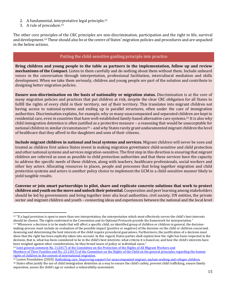- 2. A fundamental, interpretative legal principle;<sup>12</sup>
- 3. A rule of procedure.<sup>13</sup>

The other core principles of the CRC principles are non-discrimination, participation and the right to life, survival and development.<sup>14</sup> These should also be at the centre of States' migration policies and procedures and are unpacked in the below actions.

#### Putting the child-sensitive guiding principle into practice

**Bring children and young people to the table as partners in the implementation, follow up and review mechanisms of the Compact.** Listen to them carefully and do nothing about them without them. Include unheard voices in the conversation through interpretation, professional facilitation, intercultural mediation and skills development. When we take them seriously, children and young people are part of the solution and contribute to designing better migration policies.

**Ensure non-discrimination on the basis of nationality or migration status.** Discrimination is at the core of many migration policies and practices that put children at risk, despite the clear CRC obligation for all States to fulfill the rights of every child *in* their territory, not *of* their territory. This translates into migrant children not having access to national systems and ending up in parallel structures, often under the care of immigration authorities. Discrimination explains, for example, why so many unaccompanied and separated children are kept in residential care, even in countries that have well-established family-based alternative care systems.<sup>15</sup> It is also why child immigration detention is often justified as a protective measure – a reasoning that would be unacceptable for national children in similar circumstances<sup>16</sup> – and why States rarely grant undocumented migrant children the level of healthcare that they afford to the daughters and sons of their citizens.

**Include migrant children in national and local systems and services.** Migrant children will never be seen and treated as children first unless States invest in making migration governance child-sensitive and child protection and other national systems and services migration-sensitive. The first step in this direction is ensuring that migrant children are referred as soon as possible to child protection authorities and that these services have the capacity to address the specific needs of these children, along with teachers, healthcare professionals, social workers and other key actors. Allocating resources to places, people and processes that bring together migration and child protection systems and actors is another policy choice to implement the GCM in a child-sensitive manner likely to yield tangible results.

**Convene or join smart partnerships to pilot, share and replicate concrete solutions that work to protect children and youth on the move and unlock their potential.** Cooperation and peer learning among stakeholders should be led by governments and bring together inter alia local authorities, civil society, UN entities, the private sector and migrant children and youth – connecting ideas and experiences between the national and the local level

been weighed against other considerations, be they broad issues of policy or individual cases." 14 [Joint general comment No. 3 \(2017\) of the Committee on the Protection of the Rights of All Migrant Workers and](https://www.refworld.org/docid/5a1293a24.html)

<sup>12</sup> "If a legal provision is open to more than one interpretation, the interpretation which most effectively serves the child's best interests should be chosen. The rights enshrined in the Convention and its Optional Protocols provide the framework for interpretation." <sup>13</sup> "Whenever a decision is to be made that will affect a specific child, an identified group of children or children in general, the decisionmaking process must include an evaluation of the possible impact (positive or negative) of the decision on the child or children concerned. Assessing and determining the best interests of the child require procedural guarantees. Furthermore, the justification of a decision must show that the right has been explicitly taken into account. In this regard, States parties shall explain how the right has been respected in the decision, that is, what has been considered to be in the child's best interests; what criteria it is based on; and how the child's interests have

[Members of Their Families and No. 22 \(2017\) of the Committee on the](https://www.refworld.org/docid/5a1293a24.html) Rights of the Child on the general principles regarding the human [rights of children in the context of international migration.](https://www.refworld.org/docid/5a1293a24.html)

<sup>&</sup>lt;sup>15</sup> Lumos Foundation (2020). [Rethinking care: Improving support for unaccompanied migrant, asylum-seeking and refugee children.](https://www.wearelumos.org/resources/rethinking-care/)

<sup>&</sup>lt;sup>16</sup> States often justify the use of child immigration detention as a way to ensure the child's safety, prevent child trafficking, ensure family separation, assess the child's age or conduct a vulnerability assessment.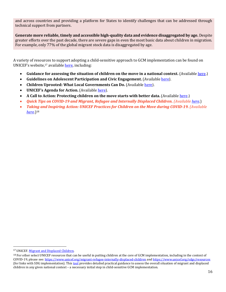and across countries and providing a platform for States to identify challenges that can be addressed through technical support from partners.

**Generate more reliable, timely and accessible high-quality data and evidence disaggregated by age.** Despite greater efforts over the past decade, there are severe gaps in even the most basic data about children in migration. For example, only 77% of the global migrant stock data is disaggregated by age.

A variety of resources to support adopting a child-sensitive approach to GCM implementation can be found on UNICEF's website,<sup>17</sup> available [here,](https://www.unicef.org/migrant-refugee-internally-displaced-children) including:

- **Guidance for assessing the situation of children on the move in a national context.** (Available [here](https://www.unicef.org/reports/guidance-assessing-situation-children-move-national-context).)
- Guidelines on Adolescent Participation and Civic Engagement. (Available [here](https://www.unicef.org/media/73296/file/ADAP-Guidelines-for-Participation.pdf)).
- **Children Uprooted: What Local Governments Can Do.** (Availabl[e here](https://www.unicef.org/sites/default/files/2018-12/Children-Uprooted-What-Local-Governments-Can-Do.pdf)).
- **UNICEF's Agenda for Action.** (Available [here](https://www.unicef.org/children-uprooted/agenda-for-action)).
- **A Call to Action: Protecting children on the move starts with better data.** (Availabl[e here](https://data.unicef.org/resources/call-action-protecting-children-move-starts-better-data/).)
- *Quick Tips on COVID-19 and Migrant, Refugee and Internally Displaced Children. (Availabl[e here](https://www.unicef.org/documents/quick-tips-covid-19-and-migrant-refugee-and-internally-displaced-children)*.)
- *Taking and Inspiring Action: UNICEF Practices for Children on the Move during COVID-19. (Available [here](https://www.unicef.org/documents/taking-and-inspiring-action-unicef-practices-children-move-during-covid-19)*.)<sup>18</sup>

<sup>&</sup>lt;sup>17</sup> UNICEF. [Migrant and Displaced Children.](ttps://www.unicef.org/migrant-refugee-internally-displaced-children)

<sup>&</sup>lt;sup>18</sup> For other select UNICEF resources that can be useful in putting children at the core of GCM implementation, including in the context of COVID-19, please see[: https://www.unicef.org/migrant-refugee-internally-displaced-children](https://www.unicef.org/migrant-refugee-internally-displaced-children) an[d https://www.unicef.org/sdgs/resources](https://www.unicef.org/sdgs/resources) (for links with SDG implementation). This [tool](https://www.unicef.org/reports/guidance-assessing-situation-children-move-national-context) provides detailed practical guidance to assess the overall situation of migrant and displaced children in any given national context – a necessary initial step in child-sensitive GCM implementation.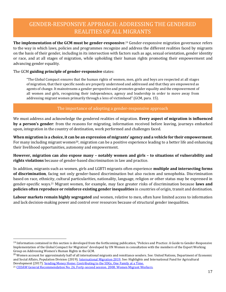## GENDER-RESPONSIVE APPROACH: ADDRESSING THE GENDERED REALITIES OF ALL MIGRANTS

**The implementation of the GCM must be gender-responsive**. <sup>19</sup> Gender-responsive migration governance refers to the way in which laws, policies and programmes recognize and address the different realities faced by migrants on the basis of their gender, including in its intersection with factors such as age, sexual orientation, gender identity or race, and at all stages of migration, while upholding their human rights promoting their empowerment and advancing gender equality.

#### The GCM **guiding principle of gender-responsive** states:

"The Global Compact ensures that the human rights of women, men, girls and boys are respected at all stages of migration, that their specific needs are properly understood and addressed and that they are empowered as agents of change. It mainstreams a gender perspective and promotes gender equality and the empowerment of all women and girls, recognizing their independence, agency and leadership in order to move away from addressing migrant women primarily through a lens of victimhood" (GCM, para. 15).

#### The importance of adopting a gender-responsive approach

We must address and acknowledge the gendered realities of migration. **Every aspect of migration is influenced by a person's gender**: from the reasons for migrating, information received before leaving, journeys embarked upon, integration in the country of destination, work performed and challenges faced.

**When migration is a choice, it can be an expression of migrants' agency and a vehicle for their empowerment**. For many including migrant women<sup>20</sup>, migration can be a positive experience leading to a better life and enhancing their livelihood opportunities, autonomy and empowerment.

**However, migration can also expose many – notably women and girls – to situations of vulnerability and rights violations** because of gender-based discrimination in law and practice.

In addition, migrants such as women, girls and LGBTI migrants often experience **multiple and intersecting forms of discrimination**, facing not only gender-based discrimination but also racism and xenophobia. Discrimination based on race, ethnicity, cultural particularities, nationality, language, religion or other status may be expressed in gender-specific ways.<sup>21</sup> Migrant women, for example, may face greater risks of discrimination because **laws and policies often reproduce or reinforce existing gender inequalities** in countries of origin, transit and destination.

**Labour markets remain highly segregated** and women, relative to men, often have limited access to information and lack decision-making power and control over resources because of structural gender inequalities.

<sup>&</sup>lt;sup>19</sup> Information contained in this section is developed from the forthcoming publication, "Policies and Practice: A Guide to Gender-Responsive Implementation of the Global Compact for Migration" developed by UN Women in consultation with the members of the Expert Working Group on Addressing Women's Human Rights in the GCM.

<sup>&</sup>lt;sup>20</sup> Women account for approximately half of all international migrants and remittance senders. See: United Nations, Department of Economic and Social Affairs, Population Division (2019). [International Migration 2019.](https://www.un.org/development/desa/pd/sites/www.un.org.development.desa.pd/files/files/documents/2020/Jan/un_2019_internationalmigration_highlights.pdf) See: Highlights and International Fund for Agricultural Development (2017)[. Sending Money Home: Contributing to the SDGs, One Family at a Time.](https://www.ifad.org/documents/38714170/39135645/Sending+Money+Home+-+Contributing+to+the+SDGs%2C+one+family+at+a+time.pdf/c207b5f1-9fef-4877-9315-75463fccfaa7)

<sup>21</sup> [CEDAW General Recommendation No. 26, Forty-second session. 2008. Women Migrant Workers.](https://tbinternet.ohchr.org/Treaties/CEDAW/Shared%20Documents/1_Global/CEDAW_C_2009_WP-1_R_7138_E.pdf)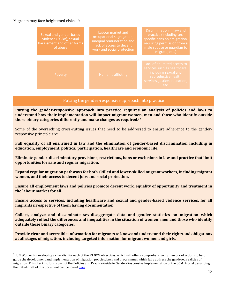#### Migrants may face heightened risks of:

| Sexual and gender-based<br>violence (SGBV), sexual<br>harassment and other forms<br>of abuse | Labour market and<br>occupational segregation,<br>unequal remuneration and<br>lack of access to decent<br>work and social protection | Discrimination in law and<br>practice (including sex-<br>specific bans on emigration,<br>requiring permission from a<br>male spouse or guardian to<br>migrate, etc.) |
|----------------------------------------------------------------------------------------------|--------------------------------------------------------------------------------------------------------------------------------------|----------------------------------------------------------------------------------------------------------------------------------------------------------------------|
| Poverty                                                                                      | Human trafficking                                                                                                                    | Lack of or limited access to<br>services such as healthcare,<br>including sexual and<br>reproductive health<br>services, justice, education,<br>etc.                 |

#### Putting the gender-responsive approach into practice

**Putting the gender-responsive approach into practice requires an analysis of policies and laws to understand how their implementation will impact migrant women, men and those who identify outside those binary categories differently and make changes as required**. 22

Some of the overarching cross-cutting issues that need to be addressed to ensure adherence to the genderresponsive principle are:

**Full equality of all enshrined in law and the elimination of gender-based discrimination including in education, employment, political participation, healthcare and economic life.**

**Eliminate gender-discriminatory provisions, restrictions, bans or exclusions in law and practice that limit opportunities for safe and regular migration.**

**Expand regular migration pathways for both skilled and lower-skilled migrant workers, including migrant women, and their access to decent jobs and social protection.**

**Ensure all employment laws and policies promote decent work, equality of opportunity and treatment in the labour market for all.**

**Ensure access to services, including healthcare and sexual and gender-based violence services, for all migrants irrespective of them having documentation.**

**Collect, analyze and disseminate sex-disaggregate data and gender statistics on migration which adequately reflect the differences and inequalities in the situation of women, men and those who identify outside those binary categories.**

**Provide clear and accessible information for migrants to know and understand their rights and obligations at all stages of migration, including targeted information for migrant women and girls.**

<sup>&</sup>lt;sup>22</sup> UN Women is developing a checklist for each of the 23 GCM objectives, which will offer a comprehensive framework of actions to help guide the development and implementation of migration policies, laws and programmes which fully address the gendered realities of migration. This checklist forms part of the Policies and Practice Guide to Gender-Responsive Implementation of the GCM. A brief describing the initial draft of this document can be foun[d here.](https://www.unwomen.org/en/digital-library/publications/2018/12/guide-for-gender-responsive-implementation-of-the-global-compact-for-migration)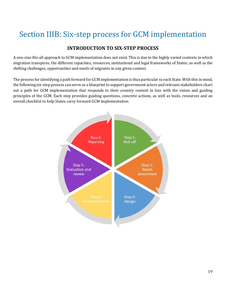## Section IIIB: Six-step process for GCM implementation

### **INTRODUCTION TO SIX-STEP PROCESS**

A one-size-fits-all approach to GCM implementation does not exist. This is due to the highly varied contexts in which migration transpires; the different capacities, resources, institutional and legal frameworks of States; as well as the shifting challenges, opportunities and needs of migrants in any given context.

The process for identifying a path forward for GCM implementation is thus particular to each State. With this in mind, the following six-step process can serve as a blueprint to support government actors and relevant stakeholders chart out a path for GCM implementation that responds to their country context in line with the vision and guiding principles of the GCM. Each step provides guiding questions, concrete actions, as well as tools, resources and an overall checklist to help States carry forward GCM implementation.

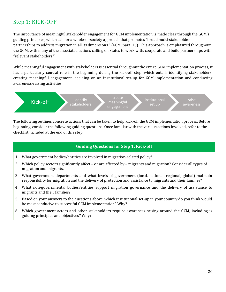## Step 1: KICK-OFF

The importance of meaningful stakeholder engagement for GCM implementation is made clear through the GCM's guiding principles, which call for a whole-of-society approach that promotes "broad multi-stakeholder partnerships to address migration in all its dimensions." (GCM, para. 15). This approach is emphasized throughout the GCM, with many of the associated actions calling on States to work with, cooperate and build partnerships with "relevant stakeholders."

While meaningful engagement with stakeholders is essential throughout the entire GCM implementation process, it has a particularly central role in the beginning during the kick-off step, which entails identifying stakeholders, creating meaningful engagement, deciding on an institutional set-up for GCM implementation and conducting awareness-raising activities.



The following outlines concrete actions that can be taken to help kick-off the GCM implementation process. Before beginning, consider the following guiding questions. Once familiar with the various actions involved, refer to the checklist included at the end of this step.

#### **Guiding Questions for Step 1: Kick-off**

- 1. What government bodies/entities are involved in migration-related policy?
- 2. Which policy sectors significantly affect or are affected by migrants and migration? Consider all types of migration and migrants.
- 3. What government departments and what levels of government (local, national, regional, global) maintain responsibility for migration and the delivery of protection and assistance to migrants and their families?
- 4. What non-governmental bodies/entities support migration governance and the delivery of assistance to migrants and their families?
- 5. Based on your answers to the questions above, which institutional set-up in your country do you think would be most conducive to successful GCM implementation? Why?
- 6. Which government actors and other stakeholders require awareness-raising around the GCM, including is guiding principles and objectives? Why?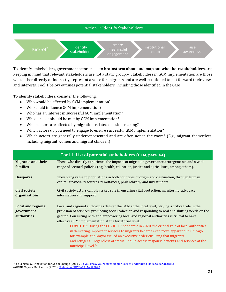

To identify stakeholders, government actors need to **brainstorm about and map out who their stakeholders are**, keeping in mind that relevant stakeholders are not a static group.<sup>23</sup> Stakeholders in GCM implementation are those who, either directly or indirectly, represent a voice for migrants and are well-positioned to put forward their views and interests. Tool 1 below outlines potential stakeholders, including those identified in the GCM.

To identify stakeholders, consider the following:

- Who would be affected by GCM implementation?
- Who could influence GCM implementation?
- Who has an interest in successful GCM implementation?
- Whose needs should be met by GCM implementation?
- Which actors are affected by migration-related decision-making?
- Which actors do you need to engage to ensure successful GCM implementation?
- Which actors are generally underrepresented and are often not in the room? (E.g., migrant themselves, including migrant women and migrant children)

|                                                        | Tool 1: List of potential stakeholders (GCM, para. 44)                                                                                                                                                                                                                                                                                                                                                                                                                                                                                                                                                                                                                                                                                                        |
|--------------------------------------------------------|---------------------------------------------------------------------------------------------------------------------------------------------------------------------------------------------------------------------------------------------------------------------------------------------------------------------------------------------------------------------------------------------------------------------------------------------------------------------------------------------------------------------------------------------------------------------------------------------------------------------------------------------------------------------------------------------------------------------------------------------------------------|
| <b>Migrants and their</b><br>families                  | Those who directly experience the impacts of migration governance arrangements and a wide<br>range of sectoral policies (e.g. health, education, justice and agriculture, among others).                                                                                                                                                                                                                                                                                                                                                                                                                                                                                                                                                                      |
| <b>Diasporas</b>                                       | They bring value to populations in both countries of origin and destination, through human<br>capital, financial resources, remittances, philanthropy and investments.                                                                                                                                                                                                                                                                                                                                                                                                                                                                                                                                                                                        |
| <b>Civil society</b><br>organizations                  | Civil society actors can play a key role in ensuring vital protection, monitoring, advocacy,<br>information and support.                                                                                                                                                                                                                                                                                                                                                                                                                                                                                                                                                                                                                                      |
| <b>Local and regional</b><br>government<br>authorities | Local and regional authorities deliver the GCM at the local level, playing a critical role in the<br>provision of services, promoting social cohesion and responding to real and shifting needs on the<br>ground. Consulting with and empowering local and regional authorities is crucial to have<br>effective GCM implementation at the territorial level.<br><b>COVID-19:</b> During the COVID-19 pandemic in 2020, the critical role of local authorities<br>in delivering important services to migrants became even more apparent. In Chicago,<br>for example, the Mayor issued an executive order ensuring that migrants<br>and refugees – regardless of status – could access response benefits and services at the<br>municipal level. <sup>24</sup> |

<sup>&</sup>lt;sup>23</sup> de la Mata, G., Innovation for Social Change (2014). [Do you know your stakeholders? Tool to undertake a Stakeholder analysis.](https://innovationforsocialchange.org/en/stakeholder-analysis/) 24 GFMD Mayors Mechanism (2020). [Update on COVID-19: April 2020.](https://www.gfmd.org/files/documents/gfmd_mayors_mechanism_update_on_covid-19_april.pdf)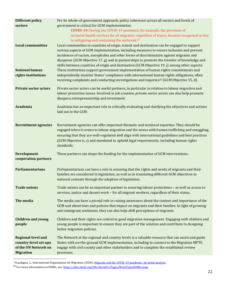| <b>Different policy</b>      | Per its whole-of-government approach, policy coherence across all sectors and levels of                                                                                                  |
|------------------------------|------------------------------------------------------------------------------------------------------------------------------------------------------------------------------------------|
| sectors                      | government is critical for GCM implementation.                                                                                                                                           |
|                              | COVID-19: During the COVID-19 pandemic, for example, the provision of                                                                                                                    |
|                              | inclusive health services for all migrants, regardless of status, became recognized as key                                                                                               |
| <b>Local communities</b>     | to mitigating and containing the outbreak. <sup>25</sup>                                                                                                                                 |
|                              | Local communities in countries of origin, transit and destination can be engaged to support<br>various aspects of GCM implementation, including measures to ensure inclusion and prevent |
|                              | incidences of racism, xenophobia and other forms of discrimination against migrants and                                                                                                  |
|                              | diasporas (GCM Objective 17, g) and in partnerships to promote the transfer of knowledge and                                                                                             |
|                              | skills between countries of origin and destination (GCM Objective 19, j) among other aspects.                                                                                            |
| <b>National human</b>        | These institutions support government implementation of human rights commitments and                                                                                                     |
| rights institutions          | independently monitor States' compliance with international human rights obligations, often                                                                                              |
|                              | receiving complaints and conducting investigations and inquiries <sup>26</sup> (GCM Objective 15, d).                                                                                    |
| <b>Private sector actors</b> | Private sector actors can be useful partners, in particular in relation to labour migration and                                                                                          |
|                              | labour protection issues. Involved in job creation, private sector actors can also help promote                                                                                          |
|                              | diaspora entrepreneurship and investment.                                                                                                                                                |
| Academia                     | Academia has an important role in critically evaluating and clarifying the objectives and actions                                                                                        |
|                              | laid out in the GCM.                                                                                                                                                                     |
|                              |                                                                                                                                                                                          |
| <b>Recruitment agencies</b>  | Recruitment agencies can offer important thematic and technical expertise. They should be                                                                                                |
|                              | engaged when it comes to labour migration and the nexus with human trafficking and smuggling,                                                                                            |
|                              | ensuring that they are well-regulated and align with international guidelines and best practices                                                                                         |
|                              | (GCM Objective 6, c) and mandated to uphold legal requirements, including human rights                                                                                                   |
|                              | standards.                                                                                                                                                                               |
| <b>Development</b>           | These partners can shape the funding for the implementation of GCM interventions.                                                                                                        |
| cooperation partners         |                                                                                                                                                                                          |
| <b>Parliamentarians</b>      | Parliamentarians can have a role in ensuring that the rights and needs of migrants and their                                                                                             |
|                              | families are considered in legislation, as well as in translating different GCM objectives to                                                                                            |
|                              | national contexts through the adoption of legislation.                                                                                                                                   |
| <b>Trade unions</b>          | Trade unions can be an important partner in ensuring labour protections - as well as access to                                                                                           |
|                              | services, justice and decent work - for all migrant workers, regardless of their status.                                                                                                 |
|                              |                                                                                                                                                                                          |
| The media                    | The media can have a pivotal role in raising awareness about the content and importance of the                                                                                           |
|                              | GCM and about laws and policies that impact on migrants and their families. In light of growing<br>anti-immigrant sentiment, they can also help shift perceptions of migrants.           |
|                              |                                                                                                                                                                                          |
| <b>Children and young</b>    | Children and their rights are central to good migration management. Engaging with children and                                                                                           |
| people                       | young people is important to ensure they are part of the solution and contribute to designing                                                                                            |
|                              | better migration policies.                                                                                                                                                               |
| <b>Regional-level and</b>    | The Network at the regional and country levels is a valuable resource that can assist and guide                                                                                          |
| country-level set-ups        | States with on-the-ground GCM implementation, including to connect to the Migration MPTF,                                                                                                |
| of the UN Network on         | engage with civil society and other stakeholders and to complete the established review                                                                                                  |
| <b>Migration</b>             | processes.                                                                                                                                                                               |

<sup>&</sup>lt;sup>25</sup> Guadagno, L., International Organization for Migration (2020). [Migrants and the COVID-19 pandemic: An initial analysis.](https://publications.iom.int/books/mrs-no-60-migrants-and-covid-19-pandemic-initial-analysis)

<sup>&</sup>lt;sup>26</sup> For more information on NHRIs, see: <u>https://nhri.ohchr.org/EN/AboutUs/Pages/RolesTypesNHRIs.aspx</u>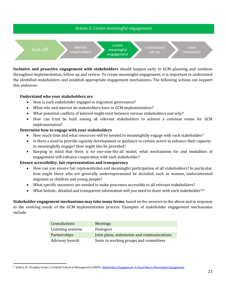

**Inclusive and proactive engagement with stakeholders** should happen early in GCM planning and continue throughout implementation, follow up and review. To create meaningful engagement, it is important to understand the identified stakeholders and establish appropriate engagement mechanisms. The following actions can support this endeavor:

#### **Understand who your stakeholders are**

- How is each stakeholder engaged in migration governance?
- What role and interest do stakeholders have in GCM implementation?
- What potential conflicts of interest might exist between various stakeholders and why?
- How can trust be built among all relevant stakeholders to achieve a common vision for GCM implementation?

#### **Determine how to engage with your stakeholders**

- How much time and what resources will be needed to meaningfully engage with each stakeholder?
- Is there a need to provide capacity development or guidance to certain actors to enhance their capacity to meaningfully engage? How might this be provided?
- Keeping in mind that there is no one-size-fits-all model, what mechanisms for and modalities of engagement will enhance cooperation with each stakeholder?

#### **Ensure accessibility, fair representation and transparency**

- How can you ensure fair representation and meaningful participation of all stakeholders? In particular, how might those who are generally underrepresented be included, such as women, undocumented migrants or children and young people?
- What specific measures are needed to make processes accessible to all relevant stakeholders?
- What holistic, detailed and transparent information will you need to share with each stakeholder?<sup>27</sup>

**Stakeholder engagement mechanisms may take many forms**, based on the answers to the above and in response to the evolving needs of the GCM implementation process. Examples of stakeholder engagement mechanisms include:

| <b>Consultations</b> | <b>Meetings</b>                            |
|----------------------|--------------------------------------------|
| Listening sessions   | <b>Dialogues</b>                           |
| Partnerships         | Joint plans, statements and communications |
| Advisory boards      | Seats in working groups and committees     |

<sup>&</sup>lt;sup>27</sup> Jeffery, N., Doughty Centre, Cranfield School of Management (2009)[. Stakeholder Engagement: A Road Map to Meaningful Engagement.](https://www.fundacionseres.org/lists/informes/attachments/1118/stakeholder%20engagement.pdf)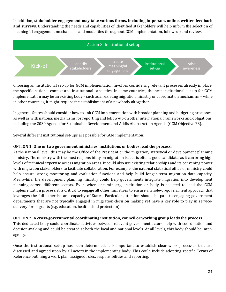In addition, **stakeholder engagement may take various forms, including in-person, online, written feedback and surveys.** Understanding the needs and capabilities of identified stakeholders will help inform the selection of meaningful engagement mechanisms and modalities throughout GCM implementation, follow-up and review.



Choosing an institutional set-up for GCM implementation involves considering relevant processes already in place, the specific national context and institutional capacities. In some countries, the best institutional set-up for GCM implementation may be an existing body – such as an existing migration ministry or coordination mechanism – while in other countries, it might require the establishment of a new body altogether.

In general, States should consider how to link GCM implementation with broader planning and budgeting processes, as well as with national mechanisms for reporting and follow-up on other international frameworks and obligations, including the 2030 Agenda for Sustainable Development and Addis Ababa Action Agenda (GCM Objective 23).

Several different institutional set-ups are possible for GCM implementation:

#### **OPTION 1: One or two government ministries, institutions or bodies lead the process.**

At the national level, this may be the Office of the President or the migration, statistical or development planning ministry. The ministry with the most responsibility on migration issues is often a good candidate, as it can bring high levels of technical expertise across migration areas. It could also use existing relationships and its convening power with migration stakeholders to facilitate collaboration. For example, the national statistical office or ministry could help ensure strong monitoring and evaluation functions and help build longer-term migration data capacity. Meanwhile, the development planning ministry could help governments integrate migration into development planning across different sectors. Even when one ministry, institution or body is selected to lead the GCM implementation process, it is critical to engage all other ministries to ensure a whole-of-government approach that leverages the full expertise and capacity of States. Particular attention should be paid to engaging government departments that are not typically engaged in migration-decision making yet have a key role to play in servicedelivery for migrants (e.g. education, health, child protection).

#### **OPTION 2: A cross-governmental coordinating institution, council or working group leads the process.**

This dedicated body could coordinate activities between relevant government actors, help with coordination and decision-making and could be created at both the local and national levels. At all levels, this body should be interagency.

Once the institutional set-up has been determined, it is important to establish clear work processes that are discussed and agreed upon by all actors in the implementing body. This could include adopting specific Terms of Reference outlining a work plan, assigned roles, responsibilities and reporting.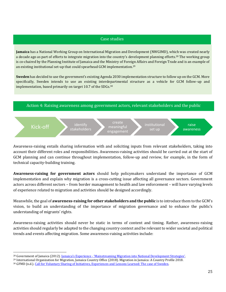#### Case studies

**Jamaica** has a National Working Group on International Migration and Development (NWGIMD), which was created nearly a decade ago as part of efforts to integrate migration into the country's development planning efforts.<sup>28</sup> The working group is co-chaired by the Planning Institute of Jamaica and the Ministry of Foreign Affairs and Foreign Trade and is an example of an existing institutional set-up that could spearhead GCM implementation.<sup>29</sup>

**Sweden** has decided to use the government's existing Agenda 2030 implementation structure to follow up on the GCM. More specifically, Sweden intends to use an existing interdepartmental structure as a vehicle for GCM follow-up and implementation, based primarily on target 10.7 of the SDGs.<sup>30</sup>





Awareness-raising entails sharing information with and soliciting inputs from relevant stakeholders, taking into account their different roles and responsibilities. Awareness-raising activities should be carried out at the start of GCM planning and can continue throughout implementation, follow-up and review, for example, in the form of technical capacity-building training.

**Awareness-raising for government actors** should help policymakers understand the importance of GCM implementation and explain why migration is a cross-cutting issue affecting all governance sectors. Government actors across different sectors – from border management to health and law enforcement – will have varying levels of experience related to migration and activities should be designed accordingly.

Meanwhile, the goal of **awareness-raising for other stakeholders and the public** is to introduce them to the GCM's vision, to build an understanding of the importance of migration governance and to enhance the public's understanding of migrants' rights.

Awareness-raising activities should never be static in terms of content and timing. Rather, awareness-raising activities should regularly be adapted to the changing country context and be relevant to wider societal and political trends and events affecting migration. Some awareness-raising activities include:

<sup>28</sup> Government of Jamaica (2012). Jamaica's Experience - ['Mainstreaming Migration into National Development Strategies'](https://www.gfmd.org/files/documents/Jamaica_Experience_Pilot_Project.pdf).

<sup>29</sup> International Organization for Migration, Jamaica Country Office (2018). Migration in Jamaica: A Country Profile 2018.

<sup>30</sup> GFMD (n.d.)[. Call for Voluntary Sharing of Initiatives, Experiences and Lessons Learned: The case of Sweden.](https://www.gfmd.org/files/documents/contribution_from_sweden.pdf)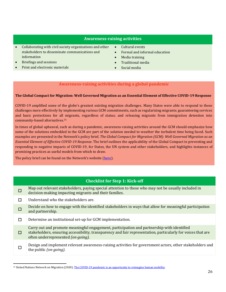#### **Awareness-raising activities**

- Collaborating with civil society organizations and other stakeholders to disseminate communications and information
- Briefings and sessions
- Print and electronic materials
- Cultural events
- Formal and informal education
- Media training
- Traditional media
- Social media

#### **Awareness-raising activities during a global pandemic**

#### **The Global Compact for Migration: Well Governed Migration as an Essential Element of Effective COVID-19 Response**

COVID-19 amplified some of the globe's greatest existing migration challenges. Many States were able to respond to these challenges more effectively by implementing various GCM commitments, such as regularizing migrants; guaranteeing services and basic protections for all migrants, regardless of status; and releasing migrants from immigration detention into community-based alternatives.<sup>31</sup>

In times of global upheaval, such as during a pandemic, awareness-raising activities around the GCM should emphasize how some of the solutions embedded in the GCM are part of the solution needed to weather the turbulent time being faced. Such examples are presented in the Network's policy brief, *The Global Compact for Migration (GCM): Well Governed Migration as an Essential Element of Effective COVID-19 Response*. The brief outlines the applicability of the Global Compact in preventing and responding to negative impacts of COVID-19, for States, the UN system and other stakeholders, and highlights instances of promising practices as useful models from which to draw.

The policy brief can be found on the Network's website ([here\)](https://migrationnetwork.un.org/sites/default/files/docs/policy_brief-gcm_and_well_governed_migration_as_an_essential_element_of_effective_covid-19_response_1.pdf).

#### **Checklist for Step 1: Kick-off**

- $\Box$ Map out relevant stakeholders, paying special attention to those who may not be usually included in decision-making impacting migrants and their families.
- $\Box$  Understand who the stakeholders are.
- ☐ Decide on how to engage with the identified stakeholders in ways that allow for meaningful participation and partnership.

☐ Determine an institutional set-up for GCM implementation.

- ☐ Carry out and promote meaningful engagement, participation and partnership with identified stakeholders, ensuring accessibility, transparency and fair representation, particularly for voices that are often underrepresented *(on-going).*
- ☐ Design and implement relevant awareness-raising activities for government actors, other stakeholders and the public *(on-going).*

<sup>&</sup>lt;sup>31</sup> United Nations Network on Migration (2020)[. The COVID-19 pandemic is an opportunity to reimagine human mobility.](https://migrationnetwork.un.org/un-network-migration-official-statement-sgs-policy-guidance-covid-19-pandemic-opportunity-reimagine/)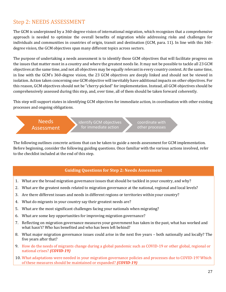## Step 2: NEEDS ASSESSMENT

The GCM is underpinned by a 360-degree vision of international migration, which recognizes that a comprehensive approach is needed to optimize the overall benefits of migration while addressing risks and challenges for individuals and communities in countries of origin, transit and destination (GCM, para. 11). In line with this 360 degree vision, the GCM objectives span many different topics across sectors.

The purpose of undertaking a needs assessment is to identify those GCM objectives that will facilitate progress on the issues that matter most in a country and where the greatest needs lie. It may not be possible to tackle all 23 GCM objectives at the same time, and not all objectives may be equally relevant in every country context. At the same time, in line with the GCM's 360-degree vision, the 23 GCM objectives are deeply linked and should not be viewed in isolation. Action taken concerning one GCM objective will inevitably have additional impacts on other objectives. For this reason, GCM objectives should not be "cherry-picked" for implementation. Instead, all GCM objectives should be comprehensively assessed during this step, and, over time, all of them should be taken forward coherently.

This step will support states in identifying GCM objectives for immediate action, in coordination with other existing processes and ongoing obligations.

Needs Assessment

identify GCM objectives for immediate action

coordinate with other processes

The following outlines concrete actions that can be taken to guide a needs assessment for GCM implementation. Before beginning, consider the following guiding questions. Once familiar with the various actions involved, refer to the checklist included at the end of this step.

#### **Guiding Questions for Step 2: Needs Assessment**

- 1. What are the broad migration governance issues that should be tackled in your country, and why?
- 2. What are the greatest needs related to migration governance at the national, regional and local levels?
- 3. Are there different issues and needs in different regions or territories within your country?
- 4. What do migrants in your country say their greatest needs are?
- 5. What are the most significant challenges facing your nationals when migrating?
- 6. What are some key opportunities for improving migration governance?
- 7. Reflecting on migration governance measures your government has taken in the past, what has worked and what hasn't? Who has benefited and who has been left behind?
- 8. What major migration governance issues could arise in the next five years both nationally and locally? The five years after that?
- 9. How do the needs of migrants change during a global pandemic such as COVID-19 or other global, regional or national crises? *(COVID-19)*
- 10. What adaptations were needed in your migration governance policies and processes due to COVID-19? Which of these measures should be maintained or expanded? *(COVID-19)*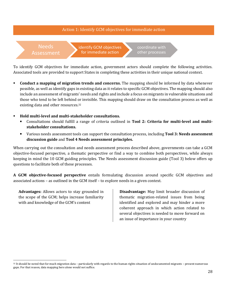#### Action 1: Identify GCM objectives for immediate action

#### Needs Assessment

identify GCM objectives for immediate action

coordinate with other processes

To identify GCM objectives for immediate action, government actors should complete the following activities. Associated tools are provided to support States in completing these activities in their unique national context.

- **Conduct a mapping of migration trends and concerns.** The mapping should be informed by data whenever possible, as well as identify gaps in existing data as it relates to specific GCM objectives. The mapping should also include an assessment of migrants' needs and rights and include a focus on migrants in vulnerable situations and those who tend to be left behind or invisible. This mapping should draw on the consultation process as well as existing data and other resources.<sup>32</sup>
- **Hold multi-level and multi-stakeholder consultations.** 
	- Consultations should fulfill a range of criteria outlined in **Tool 2: Criteria for multi-level and multistakeholder consultations.**
	- Various needs assessment tools can support the consultation process, including **Tool 3: Needs assessment discussion guide** and **Tool 4 Needs assessment principles.**

When carrying out the consultation and needs assessment process described above, governments can take a GCM objective-focused perspective, a thematic perspective or find a way to combine both perspectives, while always keeping in mind the 10 GCM guiding principles. The Needs assessment discussion guide (Tool 3) below offers up questions to facilitate both of these processes.

**A GCM objective-focused perspective** entails formulating discussion around specific GCM objectives and associated actions – as outlined in the GCM itself – to explore needs in a given context.

**Advantages:** Allows actors to stay grounded in the scope of the GCM; helps increase familiarity with and knowledge of the GCM's content

**Disadvantage:** May limit broader discussion of thematic migration-related issues from being identified and explored and may hinder a more coherent approach in which action related to several objectives is needed to move forward on an issue of importance in your country

 $32$  It should be noted that for much migration data – particularly with regards to the human rights situation of undocumented migrants – present numerous gaps. For that reason, data mapping here alone would not suffice.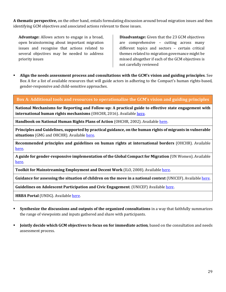**A thematic perspective,** on the other hand, entails formulating discussion around broad migration issues and then identifying GCM objectives and associated actions relevant to those issues.

**Advantage:** Allows actors to engage in a broad, open brainstorming about important migration issues and recognise that actions related to several objectives may be needed to address priority issues

**Disadvantage:** Given that the 23 GCM objectives are comprehensive – cutting across many different topics and sectors – certain critical themes related to migration governance might be missed altogether if each of the GCM objectives is not carefully reviewed

▪ **Align the needs assessment process and consultations with the GCM's vision and guiding principles**. See Box A for a list of available resources that will guide actors in adhering to the Compact's human rights-based, gender-responsive and child-sensitive approaches.

#### **Box A: Additional tools and resources to operationalize the GCM's vision and guiding principles**

**National Mechanisms for Reporting and Follow-up: A practical guide to effective state engagement with international human rights mechanisms** (OHCHR, 2016). Availabl[e here.](https://www.ohchr.org/Documents/Publications/HR_PUB_16_1_NMRF_PracticalGuide.pdf)

**Handbook on National Human Rights Plans of Action** (OHCHR, 2002). Available [here.](https://www.ohchr.org/Documents/Publications/training10en.pdf)

**Principles and Guidelines, supported by practical guidance, on the human rights of migrants in vulnerable situations** (GMG and OHCHR). Availabl[e here.](https://www.ohchr.org/Documents/Issues/Migration/PrinciplesAndGuidelines.pdf)

**Recommended principles and guidelines on human rights at international borders** (OHCHR). Available [here.](https://www.ohchr.org/Documents/Issues/Migration/OHCHR_Recommended_Principles_Guidelines.pdf)

**A guide for gender-responsive implementation of the Global Compact for Migration** (UN Women). Available [here.](https://www.unwomen.org/en/digital-library/publications/2018/12/guide-for-gender-responsive-implementation-of-the-global-compact-for-migration)

**Toolkit for Mainstreaming Employment and Decent Work** (ILO, 2008). Available [here.](https://www.ilo.org/wcmsp5/groups/public/---dgreports/---exrel/documents/publication/wcms_172612.pdf)

**Guidance for assessing the situation of children on the move in a national context** (UNICEF). Availabl[e here.](https://www.unicef.org/reports/guidance-assessing-situation-children-move-national-context)

**Guidelines on Adolescent Participation and Civic Engagement**. (UNICEF) Availabl[e here](https://www.unicef.org/media/73296/file/ADAP-Guidelines-for-Participation.pdf).

**HRBA Portal** (UNDG). Available [here.](https://hrbaportal.undg.org/)

- **Synthesize the discussions and outputs of the organized consultations** in a way that faithfully summarizes the range of viewpoints and inputs gathered and share with participants.
- **Jointly decide which GCM objectives to focus on for immediate action**, based on the consultation and needs assessment process.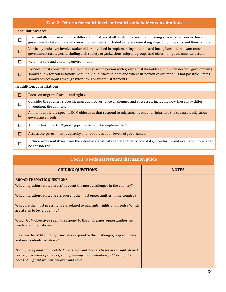| Tool 2: Criteria for multi-level and multi-stakeholder consultations |                                                                                                                                                                                                                                                                                                               |  |  |  |  |
|----------------------------------------------------------------------|---------------------------------------------------------------------------------------------------------------------------------------------------------------------------------------------------------------------------------------------------------------------------------------------------------------|--|--|--|--|
|                                                                      | <b>Consultations are:</b>                                                                                                                                                                                                                                                                                     |  |  |  |  |
| $\Box$                                                               | Horizontally inclusive: involve different ministries at all levels of government, paying special attention to those<br>government stakeholders who may not be usually included in decision-making impacting migrants and their families.                                                                      |  |  |  |  |
| П                                                                    | Vertically inclusive: involve stakeholders involved in implementing national and local plans and relevant cross-<br>government strategies, including civil society organizations, migrant groups and other non-governmental actors.                                                                           |  |  |  |  |
| $\Box$                                                               | Held in a safe and enabling environment.                                                                                                                                                                                                                                                                      |  |  |  |  |
| П                                                                    | Flexible: most consultations should take place in person with groups of stakeholders, but when needed, governments<br>should allow for consultations with individual stakeholders and where in-person consultation is not possible, States<br>should collect inputs through interviews or written statements. |  |  |  |  |
|                                                                      | In addition, consultations:                                                                                                                                                                                                                                                                                   |  |  |  |  |
| ◘                                                                    | Focus on migrants' needs and rights.                                                                                                                                                                                                                                                                          |  |  |  |  |
| П                                                                    | Consider the country's specific migration governance challenges and successes, including how these may differ<br>throughout the country.                                                                                                                                                                      |  |  |  |  |
| $\mathbb{R}^n$                                                       | Aim to identify the specific GCM objectives that respond to migrants' needs and rights and the country's migration<br>governance needs.                                                                                                                                                                       |  |  |  |  |
| П                                                                    | Aim to chart how GCM guiding principles will be implemented.                                                                                                                                                                                                                                                  |  |  |  |  |
| □                                                                    | Assess the government's capacity and resources at all levels of governance.                                                                                                                                                                                                                                   |  |  |  |  |
| $\Box$                                                               | Include representatives from the relevant statistical agency so that critical data, monitoring and evaluation topics can<br>be considered.                                                                                                                                                                    |  |  |  |  |

| Tool 3: Needs assessment discussion guide                                                                                                                                                                   |              |  |  |
|-------------------------------------------------------------------------------------------------------------------------------------------------------------------------------------------------------------|--------------|--|--|
| <b>GUIDING QUESTIONS</b>                                                                                                                                                                                    | <b>NOTES</b> |  |  |
| <b>BROAD THEMATIC QUESTIONS</b><br>What migration-related areas* present the most challenges in the country?                                                                                                |              |  |  |
| What migration-related areas present the most opportunities in the country?                                                                                                                                 |              |  |  |
| What are the most pressing areas related to migrants' rights and needs? Which<br>are at risk to be left behind?                                                                                             |              |  |  |
| Which GCM objectives seem to respond to the challenges, opportunities and<br>needs identified above?                                                                                                        |              |  |  |
| How can the GCM guiding principles respond to the challenges, opportunities<br>and needs identified above?                                                                                                  |              |  |  |
| *Examples of migration-related areas: migrants' access to services; rights-based<br>border governance practices; ending immigration detention; addressing the<br>needs of migrant women, children and youth |              |  |  |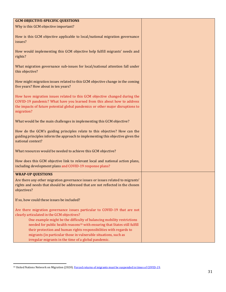| <b>GCM OBJECTIVE-SPECIFIC QUESTIONS</b>                                                                                                                                                                                                                                                                                                                                                                                                                                                      |  |
|----------------------------------------------------------------------------------------------------------------------------------------------------------------------------------------------------------------------------------------------------------------------------------------------------------------------------------------------------------------------------------------------------------------------------------------------------------------------------------------------|--|
| Why is this GCM objective important?                                                                                                                                                                                                                                                                                                                                                                                                                                                         |  |
|                                                                                                                                                                                                                                                                                                                                                                                                                                                                                              |  |
| How is this GCM objective applicable to local/national migration governance<br>issues?                                                                                                                                                                                                                                                                                                                                                                                                       |  |
| How would implementing this GCM objective help fulfill migrants' needs and<br>rights?                                                                                                                                                                                                                                                                                                                                                                                                        |  |
| What migration governance sub-issues for local/national attention fall under<br>this objective?                                                                                                                                                                                                                                                                                                                                                                                              |  |
| How might migration issues related to this GCM objective change in the coming<br>five years? How about in ten years?                                                                                                                                                                                                                                                                                                                                                                         |  |
| How have migration issues related to this GCM objective changed during the<br>COVID-19 pandemic? What have you learned from this about how to address<br>the impacts of future potential global pandemics or other major disruptions to<br>migration?                                                                                                                                                                                                                                        |  |
| What would be the main challenges in implementing this GCM objective?                                                                                                                                                                                                                                                                                                                                                                                                                        |  |
| How do the GCM's guiding principles relate to this objective? How can the<br>guiding principles inform the approach to implementing this objective given the<br>national context?                                                                                                                                                                                                                                                                                                            |  |
| What resources would be needed to achieve this GCM objective?                                                                                                                                                                                                                                                                                                                                                                                                                                |  |
| How does this GCM objective link to relevant local and national action plans,<br>including development plans and COVID-19 response plans?                                                                                                                                                                                                                                                                                                                                                    |  |
| <b>WRAP-UP QUESTIONS</b>                                                                                                                                                                                                                                                                                                                                                                                                                                                                     |  |
| Are there any other migration governance issues or issues related to migrants'<br>rights and needs that should be addressed that are not reflected in the chosen<br>objectives?                                                                                                                                                                                                                                                                                                              |  |
| If so, how could these issues be included?                                                                                                                                                                                                                                                                                                                                                                                                                                                   |  |
| Are there migration governance issues particular to COVID-19 that are not<br>clearly articulated in the GCM objectives?<br>One example might be the difficulty of balancing mobility restrictions<br>needed for public health reasons <sup>33</sup> with ensuring that States still fulfill<br>their protection and human rights responsibilities with regards to<br>migrants (in particular those in vulnerable situations, such as<br>irregular migrants in the time of a global pandemic. |  |

<sup>33</sup> United Nations Network on Migration (2020)[. Forced returns of migrants must be suspended in times of COVID-19.](https://migrationnetwork.un.org/un-network-migration-official-statement-forced-returns-migrants-must-be-suspended-times-covid-19)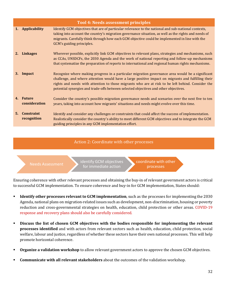|    |                                  | <b>Tool 4: Needs assessment principles</b>                                                                                                                                                                                                                                                                                                                                                          |
|----|----------------------------------|-----------------------------------------------------------------------------------------------------------------------------------------------------------------------------------------------------------------------------------------------------------------------------------------------------------------------------------------------------------------------------------------------------|
| 1. | <b>Applicability</b>             | Identify GCM objectives that are of particular relevance to the national and sub-national contexts,<br>taking into account the country's migration governance situation, as well as the rights and needs of<br>migrants. Carefully think through how each GCM objective could be implemented in line with the<br>GCM's guiding principles.                                                          |
| 2. | <b>Linkages</b>                  | Wherever possible, explicitly link GCM objectives to relevant plans, strategies and mechanisms, such<br>as CCAs, UNSDCFs, the 2030 Agenda and the work of national reporting and follow-up mechanisms<br>that systematize the preparation of reports to international and regional human rights mechanisms.                                                                                         |
| 3. | Impact                           | Recognize where making progress in a particular migration governance area would be a significant<br>challenge, and where attention would have a large positive impact on migrants and fulfilling their<br>rights and needs with attention to those migrants who are at risk to be left behind. Consider the<br>potential synergies and trade-offs between selected objectives and other objectives. |
|    | 4. Future<br>consideration       | Consider the country's possible migration governance needs and scenarios over the next five to ten<br>years, taking into account how migrants' situations and needs might evolve over this time.                                                                                                                                                                                                    |
| 5. | <b>Constraint</b><br>recognition | Identify and consider any challenges or constraints that could affect the success of implementation.<br>Realistically consider the country's ability to meet different GCM objectives and to integrate the GCM<br>guiding principles in any GCM implementation effort.                                                                                                                              |

#### Action 2: Coordinate with other processes

Needs Assessment **identify GCM objectives** for immediate action

coordinate with other processes

Ensuring coherence with other relevant processes and obtaining the buy-in of relevant government actors is critical to successful GCM implementation. To ensure coherence and buy-in for GCM implementation, States should:

- **Identify other processes relevant to GCM implementation**, such as the processes for implementing the 2030 Agenda, national plans on migration-related issues such as development, non-discrimination, housing or poverty reduction and cross-governmental strategies on health, education, child protection or other areas. COVID-19 response and recovery plans should also be carefully considered.
- **Discuss the list of chosen GCM objectives with the bodies responsible for implementing the relevant processes identified** and with actors from relevant sectors such as health, education, child protection, social welfare, labour and justice, regardless of whether these sectors have their own national processes. This will help promote horizontal coherence.
- **Organize a validation workshop** to allow relevant government actors to approve the chosen GCM objectives.
- **Communicate with all relevant stakeholders** about the outcomes of the validation workshop.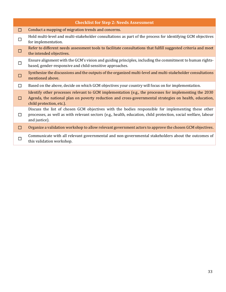| <b>Checklist for Step 2: Needs Assessment</b> |                                                                                                                                                                                                                                              |  |  |  |  |
|-----------------------------------------------|----------------------------------------------------------------------------------------------------------------------------------------------------------------------------------------------------------------------------------------------|--|--|--|--|
| □                                             | Conduct a mapping of migration trends and concerns.                                                                                                                                                                                          |  |  |  |  |
| $\Box$                                        | Hold multi-level and multi-stakeholder consultations as part of the process for identifying GCM objectives<br>for implementation.                                                                                                            |  |  |  |  |
| <b>COL</b>                                    | Refer to different needs assessment tools to facilitate consultations that fulfill suggested criteria and meet<br>the intended objectives.                                                                                                   |  |  |  |  |
| $\Box$                                        | Ensure alignment with the GCM's vision and guiding principles, including the commitment to human rights-<br>based, gender-responsive and child-sensitive approaches.                                                                         |  |  |  |  |
| П                                             | Synthesize the discussions and the outputs of the organized multi-level and multi-stakeholder consultations<br>mentioned above.                                                                                                              |  |  |  |  |
| П                                             | Based on the above, decide on which GCM objectives your country will focus on for implementation.                                                                                                                                            |  |  |  |  |
| П                                             | Identify other processes relevant to GCM implementation (e.g., the processes for implementing the 2030<br>Agenda, the national plan on poverty reduction and cross-governmental strategies on health, education,<br>child protection, etc.). |  |  |  |  |
| $\Box$                                        | Discuss the list of chosen GCM objectives with the bodies responsible for implementing these other<br>processes, as well as with relevant sectors (e.g., health, education, child protection, social welfare, labour<br>and justice).        |  |  |  |  |
| $\Box$                                        | Organize a validation workshop to allow relevant government actors to approve the chosen GCM objectives.                                                                                                                                     |  |  |  |  |
| П                                             | Communicate with all relevant governmental and non-governmental stakeholders about the outcomes of<br>this validation workshop.                                                                                                              |  |  |  |  |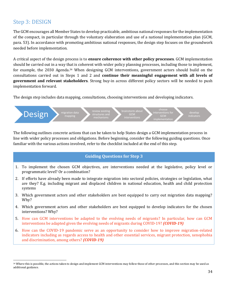## Step 3: DESIGN

The GCM encourages all Member States to develop practicable, ambitious national responses for the implementation of the compact, in particular through the voluntary elaboration and use of a national implementation plan (GCM, para. 53). In accordance with promoting ambitious national responses, the design step focuses on the groundwork needed before implementation.

A critical aspect of the design process is to **ensure coherence with other policy processes**. GCM implementation should be carried out in a way that is coherent with wider policy planning processes, including those to implement, for example, the 2030 Agenda.<sup>34</sup> When designing GCM interventions, government actors should build on the consultations carried out in Steps 1 and 2 and **continue their meaningful engagement with all levels of government and relevant stakeholders**. Strong buy-in across different policy sectors will be needed to push implementation forward.

The design step includes data mapping, consultations, choosing interventions and developing indicators.



The following outlines concrete actions that can be taken to help States design a GCM implementation process in line with wider policy processes and obligations. Before beginning, consider the following guiding questions. Once familiar with the various actions involved, refer to the checklist included at the end of this step.

#### **Guiding Questions for Step 3**

- 1. To implement the chosen GCM objectives, are interventions needed at the legislative, policy level or programmatic level? Or a combination?
- 2. If efforts have already been made to integrate migration into sectoral policies, strategies or legislation, what are they? E.g. including migrant and displaced children in national education, health and child protection systems
- 3. Which government actors and other stakeholders are best equipped to carry out migration data mapping? Why?
- 4. Which government actors and other stakeholders are best equipped to develop indicators for the chosen interventions? Why?
- 5. How can GCM interventions be adapted to the evolving needs of migrants? In particular, how can GCM interventions be adapted given the evolving needs of migrants during COVID-19? *(COVID-19)*
- 6. How can the COVID-19 pandemic serve as an opportunity to consider how to improve migration-related indicators including as regards access to health and other essential services, migrant protection, xenophobia and discrimination, among others? *(COVID-19)*

<sup>34</sup> Where this is possible, the actions taken to design and implement GCM interventions may follow those of other processes, and this section may be used as additional guidance.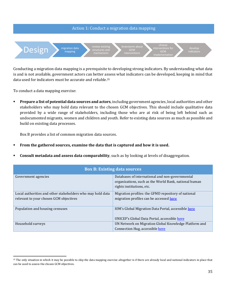

Conducting a migration data mapping is a prerequisite to developing strong indicators. By understanding what data is and is not available, government actors can better assess what indicators can be developed, keeping in mind that data used for indicators must be accurate and reliable.<sup>35</sup>

To conduct a data mapping exercise:

**• Prepare a list of potential data sources and actors**, including government agencies, local authorities and other stakeholders who may hold data relevant to the chosen GCM objectives. This should include qualitative data provided by a wide range of stakeholders, including those who are at risk of being left behind such as undocumented migrants, women and children and youth. Refer to existing data sources as much as possible and build on existing data processes.

Box B provides a list of common migration data sources.

- **From the gathered sources, examine the data that is captured and how it is used.**
- **Consult metadata and assess data comparability**, such as by looking at levels of disaggregation.

| <b>Box B: Existing data sources</b>                                                                  |                                                                                                                                       |  |  |
|------------------------------------------------------------------------------------------------------|---------------------------------------------------------------------------------------------------------------------------------------|--|--|
| Government agencies                                                                                  | Databases of international and non-governmental<br>organizations, such as the World Bank, national human<br>rights institutions, etc. |  |  |
| Local authorities and other stakeholders who may hold data<br>relevant to your chosen GCM objectives | Migration profiles: the GFMD repository of national<br>migration profiles can be accessed here                                        |  |  |
| Population and housing censuses                                                                      | IOM's Global Migration Data Portal, accessible here<br>UNICEF's Global Data Portal, accessible here                                   |  |  |
| Household surveys                                                                                    | UN Network on Migration Global Knowledge Platform and<br>Connection Hug, accessible here                                              |  |  |

<sup>&</sup>lt;sup>35</sup> The only situation in which it may be possible to skip the data mapping exercise altogether is if there are already local and national indicators in place that can be used to assess the chosen GCM objectives.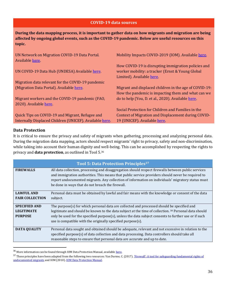#### **COVID-19 data sources**

**During the data mapping process, it is important to gather data on how migrants and migration are being affected by ongoing global events, such as the COVID-19 pandemic. Below are useful resources on this topic.**

| UN Network on Migration COVID-19 Data Portal.<br>Available here. | Mobility Impacts COVID-2019 (IOM). Available here                                                                                   |
|------------------------------------------------------------------|-------------------------------------------------------------------------------------------------------------------------------------|
| UN COVID-19 Data Hub (UNDESA) Available here.                    | How COVID-19 is disrupting immigration policies and<br>worker mobility: a tracker (Ernst & Young Global<br>Limited). Available here |
| Migration data relevant for the COVID-19 pandemic                |                                                                                                                                     |
| (Migration Data Portal). Available here.                         | Migrant and displaced children in the age of COVID-19:                                                                              |
|                                                                  | How the pandemic is impacting them and what can we                                                                                  |
| Migrant workers and the COVID-19 pandemic (FAO,                  | do to help (You, D. et al., 2020). Available here.                                                                                  |
| 2020). Available here.                                           |                                                                                                                                     |
|                                                                  | Social Protection for Children and Families in the                                                                                  |
| Quick Tips on COVID-19 and Migrant, Refugee and                  | Context of Migration and Displacement during COVID-                                                                                 |
| Internally Displaced Children (UNICEF). Available here.          | 19 (UNICEF). Available here                                                                                                         |

#### **Data Protection**

It is critical to ensure the privacy and safety of migrants when gathering, processing and analyzing personal data. During the migration data mapping, actors should respect migrants' right to privacy, safety and non-discrimination, while taking into account their human dignity and well-being. This can be accomplished by respecting the rights to privacy and **data protection**, as outlined in Tool 5. 36

|                                                             | <b>Tool 5: Data Protection Principles</b> <sup>37</sup>                                                                                                                                                                                                                                                                                                                                |
|-------------------------------------------------------------|----------------------------------------------------------------------------------------------------------------------------------------------------------------------------------------------------------------------------------------------------------------------------------------------------------------------------------------------------------------------------------------|
| <b>FIREWALLS</b>                                            | All data collection, processing and disaggregation should respect firewalls between public services<br>and immigration authorities. This means that public service providers should never be required to<br>report undocumented migrants. Any collection of information on individuals' migratory status must<br>be done in ways that do not breach the firewall.                      |
| <b>LAWFUL AND</b><br><b>FAIR COLLECTION</b>                 | Personal data must be obtained by lawful and fair means with the knowledge or consent of the data<br>subject.                                                                                                                                                                                                                                                                          |
| <b>SPECIFIED AND</b><br><b>LEGITIMATE</b><br><b>PURPOSE</b> | The purpose(s) for which personal data are collected and processed should be specified and<br>legitimate and should be known to the data subject at the time of collection. <sup>38</sup> Personal data should<br>only be used for the specified purpose(s), unless the data subject consents to further use or if such<br>use is compatible with the originally specified purpose(s). |
| <b>DATA QUALITY</b>                                         | Personal data sought and obtained should be adequate, relevant and not excessive in relation to the<br>specified purpose(s) of data collection and data processing. Data controllers should take all<br>reasonable steps to ensure that personal data are accurate and up to date.                                                                                                     |

 $^{36}$  More information can be found through IOM Data Protection Manual, available [here.](https://publications.iom.int/books/iom-data-protection-manual)

<sup>&</sup>lt;sup>37</sup> These principles have been adapted from the following two resources: Van Durme, C. (2017). 'Firewall': A tool for safeguarding fundamental rights of [undocumented migrants](https://picum.org/firewall-tool-safeguarding-fundamental-rights-undocumented-migrants/) and IOM (2010)[. IOM Data Protection Manual.](https://publications.iom.int/books/iom-data-protection-manual)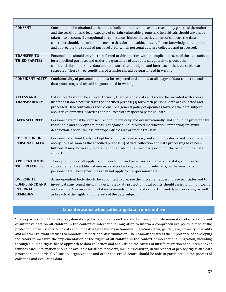| <b>CONSENT</b>                                                                   | Consent must be obtained at the time of collection or as soon as it is reasonably practical thereafter,<br>and the condition and legal capacity of certain vulnerable groups and individuals should always be<br>taken into account. If exceptional circumstances hinder the achievement of consent, the data<br>controller should, at a minimum, ensure that the data subject has sufficient knowledge to understand<br>and appreciate the specified purpose(s) for which personal data are collected and processed. |
|----------------------------------------------------------------------------------|-----------------------------------------------------------------------------------------------------------------------------------------------------------------------------------------------------------------------------------------------------------------------------------------------------------------------------------------------------------------------------------------------------------------------------------------------------------------------------------------------------------------------|
| <b>TRANSFER TO</b><br><b>THIRD PARTIES</b>                                       | Personal data should only be transferred to third parties with the explicit consent of the data subject,<br>for a specified purpose, and under the guarantee of adequate safeguards to protect the<br>confidentiality of personal data and to ensure that the rights and interests of the data subject are<br>respected. These three conditions of transfer should be guaranteed in writing.                                                                                                                          |
| <b>CONFIDENTIALITY</b>                                                           | Confidentiality of personal data must be respected and applied at all stages of data collection and<br>data processing and should be guaranteed in writing.                                                                                                                                                                                                                                                                                                                                                           |
| <b>ACCESS AND</b><br><b>TRANSPARENCY</b>                                         | Data subjects should be allowed to verify their personal data and should be provided with access<br>insofar as it does not frustrate the specified purpose(s) for which personal data are collected and<br>processed. Data controllers should ensure a general policy of openness towards the data subject<br>about developments, practices and policies with respect to personal data.                                                                                                                               |
| <b>DATA SECURITY</b>                                                             | Personal data must be kept secure, both technically and organizationally, and should be protected by<br>reasonable and appropriate measures against unauthorized modification, tampering, unlawful<br>destruction, accidental loss, improper disclosure or undue transfer.                                                                                                                                                                                                                                            |
| <b>RETENTION OF</b><br>PERSONAL DATA                                             | Personal data should only be kept for as long as is necessary and should be destroyed or rendered<br>anonymous as soon as the specified purpose(s) of data collection and data processing have been<br>fulfilled. It may, however, be retained for an additional specified period for the benefit of the data<br>subject.                                                                                                                                                                                             |
| <b>APPLICATION OF</b><br>THE PRINCIPLES                                          | These principles shall apply to both electronic and paper records of personal data, and may be<br>supplemented by additional measures of protection, depending, inter alia, on the sensitivity of<br>personal data. These principles shall not apply to non-personal data.                                                                                                                                                                                                                                            |
| <b>OVERSIGHT,</b><br><b>COMPLIANCE AND</b><br><b>INTERNAL</b><br><b>REMEDIES</b> | An independent body should be appointed to oversee the implementation of these principles and to<br>investigate any complaints, and designated data protection focal points should assist with monitoring<br>and training. Measures will be taken to remedy unlawful data collection and data processing, as well<br>as breach of the rights and interests of the data subject.                                                                                                                                       |

#### **Considerations when collecting data from children**

"States parties should develop a systematic rights-based policy on the collection and public dissemination of qualitative and quantitative data on all children in the context of international migration to inform a comprehensive policy aimed at the protection of their rights. Such data should be disaggregated by nationality, migration status, gender, age, ethnicity, disability and all other relevant statuses to monitor intersectional discrimination. The Committees stress the importance of developing indicators to measure the implementation of the rights of all children in the context of international migration, including through a human rights-based approach to data collection and analysis on the causes of unsafe migration of children and/or families. Such information should be available for all stakeholders, including children, in full respect of privacy rights and data protection standards. Civil society organizations and other concerned actors should be able to participate in the process of collecting and evaluating data.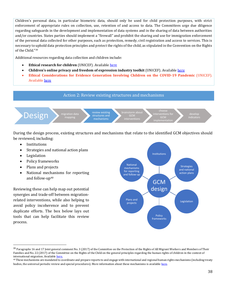Children's personal data, in particular biometric data, should only be used for child protection purposes, with strict enforcement of appropriate rules on collection, use, retention of and access to data. The Committees urge due diligence regarding safeguards in the development and implementation of data systems and in the sharing of data between authorities and/or countries. States parties should implement a "firewall" and prohibit the sharing and use for immigration enforcement of the personal data collected for other purposes, such as protection, remedy, civil registration and access to services. This is necessary to uphold data protection principles and protect the rights of the child, as stipulated in the Convention on the Rights of the Child."<sup>39</sup>

Additional resources regarding data collection and children include:

- **Ethical research for children** (UNICEF). Available [here](https://www.unicef-irc.org/article/1809-ethical-research-for-children.html)
- **Children's online privacy and freedom of expression industry toolkit** (UNICEF). Available [here](https://www.unicef.org/csr/files/UNICEF_Childrens_Online_Privacy_and_Freedom_of_Expression(1).pdf)
- **Ethical Considerations for Evidence Generation Involving Children on the COVID-19 Pandemic** (UNICEF). Availabl[e here](https://www.unicef-irc.org/publications/1086-ethical-considerations-for-evidence-generation-involving-children-on-the-covid-19.html)

#### Action 2: Review existing structures and mechanisms



During the design process, existing structures and mechanisms that relate to the identified GCM objectives should be reviewed, including:

- Institutions
- Strategies and national action plans
- **Legislation**
- Policy frameworks
- Plans and projects
- National mechanisms for reporting and follow-up<sup>40</sup>

Reviewing these can help map out potential synergies and trade-off between migrationrelated interventions, while also helping to avoid policy incoherence and to prevent duplicate efforts. The box below lays out tools that can help facilitate this review process.



<sup>&</sup>lt;sup>39</sup> Paragraphs 16 and 17 Joint general comment No. 3 (2017) of the Committee on the Protection of the Rights of All Migrant Workers and Members of Their Families and No. 22 (2017) of the Committee on the Rights of the Child on the general principles regarding the human rights of children in the context of international migration. Availabl[e here.](https://www.refworld.org/docid/5a1293a24.html)

<sup>40</sup> These mechanisms are mandated to coordinate and prepare reports to and engage with international and regional human rights mechanisms (including treaty bodies, the universal periodic review and special procedures). More information about these mechanisms is availabl[e here.](https://www.ohchr.org/Documents/Publications/HR_PUB_16_1_NMRF_PracticalGuide.pdf)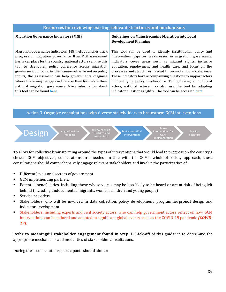#### **Resources for reviewing existing relevant structures and mechanisms**

#### **Migration Governance Indicators (MGI)**

Migration Governance Indicators (MG) help countries track progress on migration governance. If an MGI assessment has taken place for the country, national actors can use this tool to strengthen policy coherence across migration governance domains. As the framework is based on policy inputs, the assessment can help governments diagnose where there may be gaps in the way they formulate their national migration governance. More information about this tool can be foun[d here.](https://gmdac.iom.int/migration-governance-indicators)

#### **Guidelines on Mainstreaming Migration into Local Development Planning**

This tool can be used to identify institutional, policy and intervention gaps or weaknesses in migration governance. Indicators cover areas such as migrant rights, inclusive education, employment and health care, and focus on the processes and structures needed to promote policy coherence. These indicators have accompanying questions to support actors in identifying policy incoherence. Though designed for local actors, national actors may also use the tool by adapting indicator questions slightly. The tool can be accesse[d here.](http://www.migration4development.org/en/resources/library/guidelines-mainstreaming-migration-local-development-planning)

#### Action 3. Organize consultations with diverse stakeholders to brainstorm GCM interventions



To allow for collective brainstorming around the types of interventions that would lead to progress on the country's chosen GCM objectives, consultations are needed. In line with the GCM's whole-of-society approach, these consultations should comprehensively engage relevant stakeholders and involve the participation of:

- Different levels and sectors of government
- GCM implementing partners
- Potential beneficiaries, including those whose voices may be less likely to be heard or are at risk of being left behind (including undocumented migrants, women, children and young people)
- Service providers
- Stakeholders who will be involved in data collection, policy development, programme/project design and indicator development
- Stakeholders, including experts and civil society actors, who can help government actors reflect on how GCM interventions can be tailored and adapted to significant global events, such as the COVID-19 pandemic *(COVID-19).*

**Refer to meaningful stakeholder engagement found in Step 1: Kick-off** of this guidance to determine the appropriate mechanisms and modalities of stakeholder consultations.

During these consultations, participants should aim to: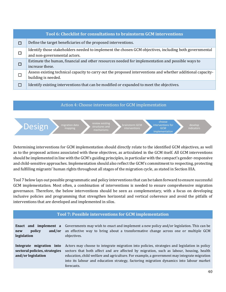|        | Tool 6: Checklist for consultations to brainstorm GCM interventions                                                                    |
|--------|----------------------------------------------------------------------------------------------------------------------------------------|
| П      | Define the target beneficiaries of the proposed interventions.                                                                         |
| □      | Identify those stakeholders needed to implement the chosen GCM objectives, including both governmental<br>and non-governmental actors. |
| □      | Estimate the human, financial and other resources needed for implementation and possible ways to<br>increase these.                    |
| $\Box$ | Assess existing technical capacity to carry out the proposed interventions and whether additional capacity-<br>building is needed.     |
|        | Identify existing interventions that can be modified or expanded to meet the objectives.                                               |

#### Action 4: Choose interventions for GCM implementation



Determining interventions for GCM implementation should directly relate to the identified GCM objectives, as well as to the proposed actions associated with these objectives, as articulated in the GCM itself. All GCM interventions should be implemented in line with the GCM's guiding principles, in particular with the compact's gender-responsive and child-sensitive approaches. Implementation should also reflect the GCM's commitment to respecting, protecting and fulfilling migrants' human rights throughout all stages of the migration cycle, as stated in Section IIIA.

Tool 7 below lays out possible programmatic and policy interventions that can be taken forward to ensure successful GCM implementation. Most often, a combination of interventions is needed to ensure comprehensive migration governance. Therefore, the below interventions should be seen as complementary, with a focus on developing inclusive policies and programming that strengthen horizontal and vertical coherence and avoid the pitfalls of interventions that are developed and implemented in silos.

| Tool 7: Possible interventions for GCM implementation                           |                                                                                                                                                                                                                                                                                                                                                                                                 |  |  |
|---------------------------------------------------------------------------------|-------------------------------------------------------------------------------------------------------------------------------------------------------------------------------------------------------------------------------------------------------------------------------------------------------------------------------------------------------------------------------------------------|--|--|
| Enact and implement a<br>policy<br>and/or<br>new<br>legislation                 | Governments may wish to enact and implement a new policy and/or legislation. This can be<br>an effective way to bring about a transformative change across one or multiple GCM<br>objectives.                                                                                                                                                                                                   |  |  |
| Integrate migration into<br>sectoral policies, strategies<br>and/or legislation | Actors may choose to integrate migration into policies, strategies and legislation in policy<br>sectors that both affect and are affected by migration, such as labour, housing, health<br>education, child welfare and agriculture. For example, a government may integrate migration<br>into its labour and education strategy, factoring migration dynamics into labour market<br>forecasts. |  |  |
|                                                                                 | $\overline{A}$                                                                                                                                                                                                                                                                                                                                                                                  |  |  |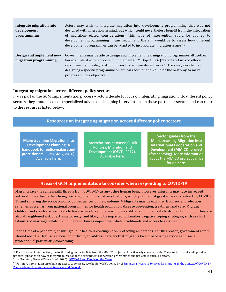| Integrate migration into<br>development<br>programming | Actors may wish to integrate migration into development programming that was not<br>designed with migration in mind, but which could nevertheless benefit from the integration<br>of migration-related considerations. This type of intervention could be applied to<br>development programming in any sector and the aim would be to assess how different<br>development programmes can be adapted to incorporate migration issues. <sup>41</sup> |
|--------------------------------------------------------|----------------------------------------------------------------------------------------------------------------------------------------------------------------------------------------------------------------------------------------------------------------------------------------------------------------------------------------------------------------------------------------------------------------------------------------------------|
| Design and implement new<br>migration programming      | Governments may decide to design and implement new migration programmes altogether.<br>For example, if actors choose to implement GCM Objective 6 ("Facilitate fair and ethical<br>recruitment and safeguard conditions that ensure decent work"), they may decide that<br>designing a specific programme on ethical recruitment would be the best way to make<br>progress on this objective.                                                      |

#### **Integrating migration across different policy sectors**

If – as part of the GCM implementation process – actors decide to focus on integrating migration into different policy sectors, they should seek out specialized advice on designing interventions in those particular sectors and can refer to the resources listed below.

#### **Resources on integrating migration across different policy sectors**

**Mainstreaming Migration into Development Planning: A [handbook for policymakers and](https://publications.iom.int/es/books/mainstreaming-migration-development-planning-handbook-policy-makers-and-practitioners)  practitioners** (IOM/GMG, 2010). Available **here**.

**[Interrelations between Public](https://www.oecd.org/dev/interrelations-between-public-policies-migration-and-development-9789264265615-en.htm)  Policies, Migration and Development** (OECD, 2017). Available **here**.

**Sector guides from the Mainstreaming Migration into International Cooperation and Development (MMICD) project**  [\(forthcoming\). More information](https://eea.iom.int/mmicd)  about the MMICD project can be found **here**.

#### **Areas of GCM implementation to consider when responding to COVID-19**

Migrants face the same health threats from COVID-19 as any other human being. However, migrants may face increased vulnerabilities due to their living, working or administrative situations, which put them at greater risk of contracting COVID-19 and suffering the socioeconomic consequences of the pandemic. <sup>42</sup> Migrants may be excluded from social protection schemes as well as from national programmes for health promotion, disease prevention, treatment and care. Migrant children and youth are less likely to have access to remote learning modalities and more likely to drop out of school. They are also at heightened risk of extreme poverty, and likely to be impacted by families' negative coping strategies, such as child labour and marriage, while dwindling remittances impact their diets, livelihoods and access to services.

In the time of a pandemic, ensuring public health is contingent on protecting all persons. For this reason, government actors should see COVID-19 as a crucial opportunity to address barriers that migrants face in accessing services and social protection, <sup>43</sup> particularly concerning:

<sup>&</sup>lt;sup>41</sup> For this type of intervention, the forthcoming sector toolkits from the MMICD project will particularly come in handy. These sector toolkits will provide practical guidance on how to integrate migration into development cooperation programmes and projects in various sectors. <sup>42</sup> UN Secretary General Policy Brief (2020)[. COVID-19 and People on the Move.](https://www.un.org/sites/un2.un.org/files/sg_policy_brief_on_people_on_the_move.pdf)

<sup>&</sup>lt;sup>43</sup> For more information on enhancing access to services, see the Network's policy brief **Enhancing Access to Services for Migrants in the Context of COVID-19** [Preparedness, Prevention, and Response and Beyond.](https://migrationnetwork.un.org/sites/default/files/docs/final_network_wg_policy_brief_covid-19_and_access_to_services.pdf)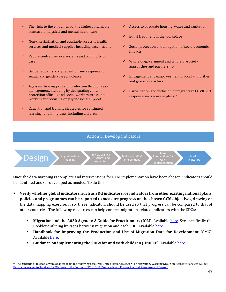- $\checkmark$  The right to the enjoyment of the highest attainable standard of physical and mental health care
- $\checkmark$  Non-discrimination and equitable access to health services and medical supplies including vaccines and
- $\checkmark$  People-centred service systems and continuity of care
- $\checkmark$  Gender equality and prevention and response to sexual and gender-based violence
- $\checkmark$  Age-sensitive support and protection through case management, including by designating child protection officials and social workers as essential workers and focusing on psychosocial support
- $\checkmark$  Education and training strategies for continued learning for all migrants, including children
- Access to adequate housing, water and sanitation
- Equal treatment in the workplace
- Social protection and mitigation of socio-economic impacts
- Whole-of-government and whole-of-society approaches and partnership
- Engagement and empowerment of local authorities and grassroots actors
- Participation and inclusion of migrants in COVID-19 response and recovery plans<sup>44</sup>

#### Action 5: Develop indicators



Once the data mapping is complete and interventions for GCM implementation have been chosen, indicators should be identified and/or developed as needed. To do this:

- **Verify whether global indicators, such as SDG indicators, or indicators from other existing national plans, policies and programmes can be reported to measure progress on the chosen GCM objectives**, drawing on the data mapping exercise. If so, these indicators should be used so that progress can be compared to that of other countries. The following resources can help connect migration-related indicators with the SDGs:
	- **EXECUTE:** Migration and the 2030 Agenda: A Guide for Practitioners (IOM). Availabl[e here.](https://publications.iom.int/books/migration-and-2030-agenda-guide-practitioners) See specifically the Booklet outlining linkages between migration and each SDG. Availabl[e here](http://www.migration4development.org/sites/default/files/en_booklet_web.pdf).
	- **Handbook for Improving the Production and Use of Migration Data for Development** (GMG). Available [here](https://www.knomad.org/sites/default/files/2017-11/Handbook%20for%20Improving%20the%20Production%20and%20Use%20of%20Migration%20Data%20for%20Development.pdf).
	- **Guidance on implementing the SDGs for and with children** (UNICEF). Availabl[e here](https://www.unicef.org/sdgs/resources).

<sup>44</sup> The contents of this table were adapted from the following resource: United Nations Network on Migration, Working Group on Access to Services (2020). [Enhancing Access to Services for Migrants in the Context of COVID-19 Preparedness, Prevention, and Response and Beyond.](https://migrationnetwork.un.org/sites/default/files/docs/final_network_wg_policy_brief_covid-19_and_access_to_services_1.pdf)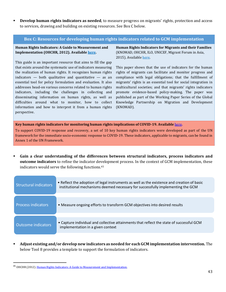**EXECTE 1.5 Percelop human rights indicators as needed**, to measure progress on migrants' rights, protection and access to services, drawing and building on existing resources. See Box C below.

#### **Box C: Resources for developing human rights indicators related to GCM implementation**

#### **Human Rights Indicators: A Guide to Measurement and Implementation (OHCHR, 2012). Available [here.](https://www.ohchr.org/Documents/Publications/Human_rights_indicators_en.pdf)**

This guide is an important resource that aims to fill the gap that exists around the systematic use of indicators measuring the realization of human rights. It recognizes human rights indicators  $-$  both qualitative and quantitative  $-$  as an essential tool for policy formulation and evaluation. It also addresses head-on various concerns related to human rights indicators, including the challenges in collecting and disseminating information on human rights, as well as difficulties around what to monitor, how to collect information and how to interpret it from a human rights perspective.

**Human Rights Indicators for Migrants and their Families** (KNOMAD, OHCHR, ILO, UNICEF, Migrant Forum in Asia, 2015). Availabl[e here.](https://www.ohchr.org/Documents/Issues/Migration/Indicators/WP5_en.pdf)

This paper shows that the use of indicators for the human rights of migrants can facilitate and monitor progress and compliance with legal obligations; that the fulfillment of migrants' rights is an essential tool for social integration in multicultural societies; and that migrants' rights indicators promote evidence-based policy-making. The paper was published as part of the Working Paper Series of the Global Knowledge Partnership on Migration and Development (KNOMAD).

**Key human rights indicators for monitoring human rights implications of COVID-19. Available** [here](https://unsdg.un.org/sites/default/files/2020-04/UN-framework-for-the-immediate-socio-economic-response-to-COVID-19.pdf)**.**

To support COVID-19 response and recovery, a set of 10 key human rights indicators were developed as part of the UN framework for the immediate socio-economic response to COVID-19. These indicators, applicable to migrants, can be found in Annex 1 of the UN Framework.

▪ **Gain a clear understanding of the differences between structural indicators, process indicators and outcome indicators** to refine the indicator development process. In the context of GCM implementation, these indicators would serve the following functions. 45

| <b>Structural indicators</b> | • Reflect the adoption of legal instruments as well as the existence and creation of basic<br>institutional mechanisms deemed necessary for successfully implementing the GCM |  |  |  |
|------------------------------|-------------------------------------------------------------------------------------------------------------------------------------------------------------------------------|--|--|--|
|                              |                                                                                                                                                                               |  |  |  |
| <b>Process indicators</b>    | • Measure ongoing efforts to transform GCM objectives into desired results                                                                                                    |  |  |  |
|                              |                                                                                                                                                                               |  |  |  |
| Outcome indicators           | • Capture individual and collective attainments that reflect the state of successful GCM<br>implementation in a given context                                                 |  |  |  |

▪ **Adjust existing and/or develop new indicators as needed for each GCM implementation intervention.** The below Tool 8 provides a template to support the formulation of indicators.

<sup>&</sup>lt;sup>45</sup> OHCHR (2012). [Human Rights Indicators: A Guide to Measurement and Implementation.](https://www.ohchr.org/Documents/Publications/Human_rights_indicators_en.pdf)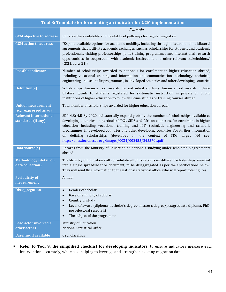|                                                      | Tool 8: Template for formulating an indicator for GCM implementation                                                                                                                                                                                                                                                                                                                                                                                                                                                             |
|------------------------------------------------------|----------------------------------------------------------------------------------------------------------------------------------------------------------------------------------------------------------------------------------------------------------------------------------------------------------------------------------------------------------------------------------------------------------------------------------------------------------------------------------------------------------------------------------|
|                                                      | Example                                                                                                                                                                                                                                                                                                                                                                                                                                                                                                                          |
| <b>GCM</b> objective to address                      | Enhance the availability and flexibility of pathways for regular migration                                                                                                                                                                                                                                                                                                                                                                                                                                                       |
| <b>GCM</b> action to address                         | "Expand available options for academic mobility, including through bilateral and multilateral<br>agreements that facilitate academic exchanges, such as scholarships for students and academic<br>professionals, visiting professorships, joint training programmes and international research<br>opportunities, in cooperation with academic institutions and other relevant stakeholders."<br>(GCM, para. 21j)                                                                                                                 |
| <b>Possible indicator</b>                            | Number of scholarships awarded to nationals for enrolment in higher education abroad,<br>including vocational training and information and communications technology, technical,<br>engineering and scientific programmes, in developed countries and other developing countries                                                                                                                                                                                                                                                 |
| Definition(s)                                        | Scholarships: Financial aid awards for individual students. Financial aid awards include<br>bilateral grants to students registered for systematic instruction in private or public<br>institutions of higher education to follow full-time studies or training courses abroad.                                                                                                                                                                                                                                                  |
| <b>Unit of measurement</b><br>(e.g., expressed as %) | Total number of scholarships awarded for higher education abroad.                                                                                                                                                                                                                                                                                                                                                                                                                                                                |
| <b>Relevant international</b><br>standards (if any)  | SDG 4.B: 4.B By 2020, substantially expand globally the number of scholarships available to<br>developing countries, in particular LDCs, SIDS and African countries, for enrolment in higher<br>education, including vocational training and ICT, technical, engineering and scientific<br>programmes, in developed countries and other developing countries For further information<br>on defining scholarships (developed in the context of SDG target 4b)<br>see:<br>http://unesdoc.unesco.org/images/0024/002455/245570e.pdf |
| Data source(s)                                       | Records from the Ministry of Education on nationals studying under scholarship agreements<br>abroad.                                                                                                                                                                                                                                                                                                                                                                                                                             |
| <b>Methodology</b> (detail on<br>data collection)    | The Ministry of Education will consolidate all of its records on different scholarships awarded<br>into a single spreadsheet or document, to be disaggregated as per the specifications below.<br>They will send this information to the national statistical office, who will report total figures.                                                                                                                                                                                                                             |
| <b>Periodicity of</b><br>measurement                 | Annual                                                                                                                                                                                                                                                                                                                                                                                                                                                                                                                           |
| <b>Disaggregation</b>                                | Gender of scholar<br>$\bullet$<br>Race or ethnicity of scholar<br>$\bullet$<br>Country of study<br>$\bullet$<br>Level of award (diploma, bachelor's degree, master's degree/postgraduate diploma, PhD,<br>$\bullet$<br>post-doctoral research)<br>The subject of the programme<br>$\bullet$                                                                                                                                                                                                                                      |
| Lead actor involved /<br>other actors                | Ministry of Education<br>National Statistical Office                                                                                                                                                                                                                                                                                                                                                                                                                                                                             |
| <b>Baseline, if available</b>                        | 0 scholarships                                                                                                                                                                                                                                                                                                                                                                                                                                                                                                                   |

▪ **Refer to Tool 9, the simplified checklist for developing indicators,** to ensure indicators measure each intervention accurately, while also helping to leverage and strengthen existing migration data.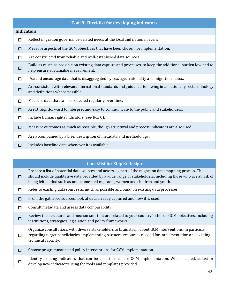|   | Tool 9: Checklist for developing indicators                                                                                                        |
|---|----------------------------------------------------------------------------------------------------------------------------------------------------|
|   | <b>Indicators:</b>                                                                                                                                 |
| □ | Reflect migration governance-related needs at the local and national levels.                                                                       |
| □ | Measure aspects of the GCM objectives that have been chosen for implementation.                                                                    |
| п | Are constructed from reliable and well-established data sources.                                                                                   |
| □ | Build as much as possible on existing data capture and processes, to keep the additional burden low and to<br>help ensure sustainable measurement. |
| П | Use and encourage data that is disaggregated by sex, age, nationality and migration status.                                                        |
| □ | Are consistent with relevant international standards and guidance, following internationally set terminology<br>and definitions where possible.    |
| □ | Measure data that can be collected regularly over time.                                                                                            |
| □ | Are straightforward to interpret and easy to communicate to the public and stakeholders.                                                           |
| П | Include human rights indicators (see Box C).                                                                                                       |
| □ | Measure outcomes as much as possible, though structural and process indicators are also used.                                                      |
| □ | Are accompanied by a brief description of metadata and methodology.                                                                                |
| П | Includes baseline data whenever it is available.                                                                                                   |

### **Checklist for Step 3: Design**

☐ Prepare a list of potential data sources and actors, as part of the migration data mapping process. This should include qualitative data provided by a wide range of stakeholders, including those who are at risk of being left behind such as undocumented migrants, women and children and youth.

- $□$  Refer to existing data sources as much as possible and build on existing data processes.
- ☐ From the gathered sources, look at data already captured and how it is used.
- ☐ Consult metadata and assess data comparability.

☐ Review the structures and mechanisms that are related to your country's chosen GCM objectives, including institutions, strategies, legislation and policy frameworks.

- ☐ Organize consultations with diverse stakeholders to brainstorm about GCM interventions, in particular regarding target beneficiaries, implementing partners, resources needed for implementation and existing technical capacity.
- ☐ Choose programmatic and policy interventions for GCM implementation.
- ☐ Identify existing indicators that can be used to measure GCM implementation. When needed, adjust or develop new indicators using the tools and templates provided.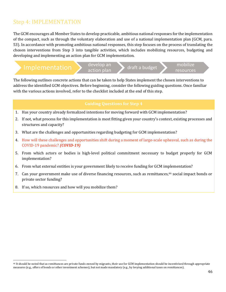## Step 4: IMPLEMENTATION

The GCM encourages all Member States to develop practicable, ambitious national responses for the implementation of the compact, such as through the voluntary elaboration and use of a national implementation plan (GCM, para. 53). In accordance with promoting ambitious national responses, this step focuses on the process of translating the chosen interventions from Step 3 into tangible activities, which includes mobilizing resources, budgeting and developing and implementing an action plan for GCM implementation.

|                                   | 'develop an | draft a budget | mobilize  |
|-----------------------------------|-------------|----------------|-----------|
| 1111101⊂111 <del>∪111001011</del> | action plan |                | resources |

The following outlines concrete actions that can be taken to help States implement the chosen interventions to address the identified GCM objectives. Before beginning, consider the following guiding questions. Once familiar with the various actions involved, refer to the checklist included at the end of this step.

#### **Guiding Questions for Step 4**

- 1. Has your country already formalized intentions for moving forward with GCM implementation?
- 2. If not, what process for this implementation is most fitting given your country's context, existing processes and structures and capacity?
- 3. What are the challenges and opportunities regarding budgeting for GCM implementation?
- 4. How will these challenges and opportunities shift during a moment of large-scale upheaval, such as during the COVID-19 pandemic? *(COVID-19)*
- 5. From which actors or bodies is high-level political commitment necessary to budget properly for GCM implementation?
- 6. From what external entities is your government likely to receive funding for GCM implementation?
- 7. Can your government make use of diverse financing resources, such as remittances,<sup>46</sup> social impact bonds or private sector funding?
- 8. If so, which resources and how will you mobilize them?

<sup>46</sup> It should be noted that as remittances are private funds owned by migrants, their use for GCM implementation should be incentivized through appropriate measures (e.g., offers of bonds or other investment schemes), but not made mandatory (e.g., by levying additional taxes on remittances).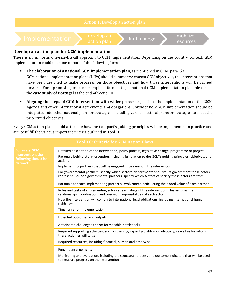

#### **Develop an action plan for GCM implementation**

There is no uniform, one-size-fits-all approach to GCM implementation. Depending on the country context, GCM implementation could take one or both of the following forms:

- **The elaboration of a national GCM implementation plan**, as mentioned in GCM, para. 53. GCM national implementation plans (NIPs) should summarize chosen GCM objectives, the interventions that have been designed to make progress on those objectives and how those interventions will be carried forward. For a promising practice example of formulating a national GCM implementation plan, please see the **case study of Portugal** at the end of Section III.
- **Aligning the steps of GCM intervention with wider processes,** such as the implementation of the 2030 Agenda and other international agreements and obligations. Consider how GCM implementation should be integrated into other national plans or strategies, including various sectoral plans or strategies to meet the prioritized objectives.

Every GCM action plan should articulate how the Compact's guiding principles will be implemented in practice and aim to fulfill the various important criteria outlined in Tool 10.

|                                                      | <b>Tool 10: Criteria for GCM Action Plans</b>                                                                                                                                                          |
|------------------------------------------------------|--------------------------------------------------------------------------------------------------------------------------------------------------------------------------------------------------------|
| <b>For every GCM</b>                                 | Detailed description of the intervention, policy process, legislative change, programme or project                                                                                                     |
| intervention, the<br>following should be<br>defined: | Rationale behind the intervention, including its relation to the GCM's guiding principles, objetives, and<br>actions                                                                                   |
|                                                      | Implementing partners that will be engaged in carrying out the intervention                                                                                                                            |
|                                                      | For governmental partners, specify which sectors, departments and level of government these actors<br>represent. For non-governmental partners, specify which sectors of society these actors are from |
|                                                      | Rationale for each implementing partner's involvement, articulating the added value of each partner                                                                                                    |
|                                                      | Roles and tasks of implementing actors at each stage of the intervention. This includes the<br>relationships coordination, and oversight responsibilities of each actor.                               |
|                                                      | How the intervention will comply to international legal obligations, including international human<br>rights law                                                                                       |
|                                                      | Timeframe for implementation                                                                                                                                                                           |
|                                                      | Expected outcomes and outputs                                                                                                                                                                          |
|                                                      | Anticipated challenges and/or foreseeable bottlenecks                                                                                                                                                  |
|                                                      | Required supporting activities, such as training, capacity-building or advocacy, as well as for whom<br>these activities will target.                                                                  |
|                                                      | Required resources, incluidng financial, human and otherwise                                                                                                                                           |
|                                                      | <b>Funding arrangements</b>                                                                                                                                                                            |
|                                                      | Monitoring and evaluation, including the structural, process and outcome indicators that will be used<br>to measure progress on the intervention                                                       |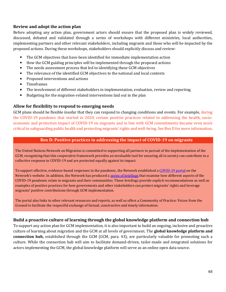#### **Review and adopt the action plan**

Before adopting any action plan, government actors should ensure that the proposed plan is widely reviewed, discussed, debated and validated through a series of workshops with different ministries, local authorities, implementing partners and other relevant stakeholders, including migrants and those who will be impacted by the proposed actions. During these workshops, stakeholders should explicitly discuss and review:

- The GCM objectives that have been identified for immediate implementation action
- How the GCM guiding principles will be implemented through the proposed actions
- The needs assessment process that led to identifying these GCM objectives
- The relevance of the identified GCM objectives to the national and local contexts
- Proposed interventions and actions
- Timeframes
- The involvement of different stakeholders in implementation, evaluation, review and reporting
- Budgeting for the migration-related interventions laid out in the plan

#### **Allow for flexibility to respond to emerging needs**

GCM plans should be flexible insofar that they can respond to changing conditions and events. For example, during the COVID-19 pandemic that started in 2020, certain positive practices related to addressing the health, socioeconomic and protection impact of COVID-19 on migrants and in line with GCM commitments became even more critical to safeguarding public health and protecting migrants' rights and well-being. See Box D for more information.

#### **Box D: Positive practices in addressing the impact of COVID-19 on migrants**

The United Nations Network on Migration is committed to supporting all partners in pursuit of the implementation of the GCM, recognizing that this cooperative framework provides an invaluable tool for ensuring all in society can contribute to a collective response to COVID-19 and are protected equally against its impact.

To support effective, evidence-based responses to the pandemic, the Network established a [COVID-19](https://migrationnetwork.un.org/covid-19) portal on the Network's website. In addition, the Network has produced [a series of briefings](https://migrationnetwork.un.org/official-un-network-migration-statements) that examine how different aspects of the COVID-19 pandemic relate to migrants and their communities. These briefings provide explicit recommendations as well as examples of positive practices for how governments and other stakeholders can protect migrants' rights and leverage migrants' positive contributions through GCM implementation.

The portal also links to other relevant resources and reports, as well as offers a Community of Practice: Voices from the Ground to facilitate the respectful exchange of factual, constructive and timely information.

#### **Build a proactive culture of learning through the global knowledge platform and connection hub**

To support any action plan for GCM implementation, it is also important to build an ongoing, inclusive and proactive culture of learning about migration and the GCM at all levels of government. The **global knowledge platform and connection hub,** established through the GCM (GCM, para. 43), are particularly valuable for promoting such a culture. While the connection hub will aim to facilitate demand-driven, tailor-made and integrated solutions for actors implementing the GCM, the global knowledge platform will serve as an online open data source.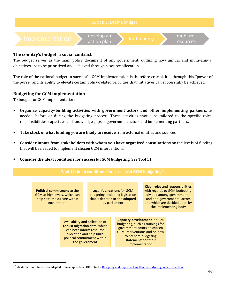

#### **The country's budget: a social contract**

The budget serves as the main policy document of any government, outlining how annual and multi-annual objectives are to be prioritized and achieved through resource allocation.

The role of the national budget in successful GCM implementation is therefore crucial. It is through this "power of the purse" and its ability to elevate certain policy-related priorities that initiatives can successfully be achieved.

#### **Budgeting for GCM implementation**

To budget for GCM implementation:

- **Organize capacity-building activities with government actors and other implementing partners**, as needed, before or during the budgeting process. These activities should be tailored to the specific roles, responsibilities, capacities and knowledge gaps of government actors and implementing partners.
- **EXECUTE:** Take stock of what funding you are likely to receive from external entities and sources.
- **Consider inputs from stakeholders with whom you have organized consultations** on the levels of funding that will be needed to implement chosen GCM interventions.
- **Consider the ideal conditions for successful GCM budgeting**. See Tool 11.

| Tool 11: Ideal conditions for successful GCM budgeting <sup>4</sup>                                                |                                                                                                                                                                          |                                                                                                                         |  |                                                                                                                                                                                                         |                                                                                                                                                                                                  |  |  |
|--------------------------------------------------------------------------------------------------------------------|--------------------------------------------------------------------------------------------------------------------------------------------------------------------------|-------------------------------------------------------------------------------------------------------------------------|--|---------------------------------------------------------------------------------------------------------------------------------------------------------------------------------------------------------|--------------------------------------------------------------------------------------------------------------------------------------------------------------------------------------------------|--|--|
|                                                                                                                    |                                                                                                                                                                          |                                                                                                                         |  |                                                                                                                                                                                                         |                                                                                                                                                                                                  |  |  |
| <b>Political commitment to the</b><br>GCM at high levels, which can<br>help shift the culture within<br>government |                                                                                                                                                                          | <b>Legal foundations for GCM</b><br>budgeting, including legislation<br>that is debated in and adopted<br>by parliament |  |                                                                                                                                                                                                         | <b>Clear roles and responsibilities</b><br>with regards to GCM budgeting,<br>divided among governmental<br>and non-governmental actors<br>and which are decided upon by<br>the implementing body |  |  |
|                                                                                                                    | Availability and collection of<br>robust migration data, which<br>can both inform resource<br>allocation and help build<br>political commitment within<br>the government |                                                                                                                         |  | Capacity development in GCM<br>budgeting, such as trainings for<br>government actors on chosen<br><b>GCM</b> interventions and on how<br>to prepare budgeting<br>statements for their<br>implementation |                                                                                                                                                                                                  |  |  |

<sup>&</sup>lt;sup>47</sup> Ideal conditions have been adapted from adapted from OECD (n.d.)[. Designing and Implementing Gender Budgeting: A path to action.](https://www.oecd.org/gov/budgeting/designing-and-implementing-gender-budgeting-a-path-to-action.pdf)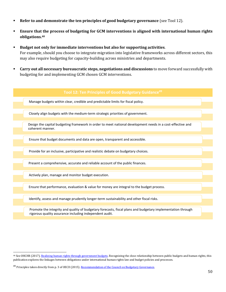- **Refer to and demonstrate the ten principles of good budgetary governance** (see Tool 12).
- **Ensure that the process of budgeting for GCM interventions is aligned with international human rights obligations.<sup>48</sup>**
- **Budget not only for immediate interventions but also for supporting activities**. For example, should you choose to integrate migration into legislative frameworks across different sectors, this may also require budgeting for capacity-building across ministries and departments.
- **Carry out all necessary bureaucratic steps, negotiations and discussions** to move forward successfully with budgeting for and implementing GCM chosen GCM interventions.

| Tool 12: Ten Principles of Good Budgetary Guidance <sup>49</sup>                                                                                                       |  |
|------------------------------------------------------------------------------------------------------------------------------------------------------------------------|--|
| Manage budgets within clear, credible and predictable limits for fiscal policy.                                                                                        |  |
|                                                                                                                                                                        |  |
| Closely align budgets with the medium-term strategic priorities of government.                                                                                         |  |
| Design the capital budgeting framework in order to meet national development needs in a cost-effective and<br>coherent manner.                                         |  |
|                                                                                                                                                                        |  |
| Ensure that budget documents and data are open, transparent and accessible.                                                                                            |  |
| Provide for an inclusive, participative and realistic debate on budgetary choices.                                                                                     |  |
| Present a comprehensive, accurate and reliable account of the public finances.                                                                                         |  |
| Actively plan, manage and monitor budget execution.                                                                                                                    |  |
| Ensure that performance, evaluation & value for money are integral to the budget process.                                                                              |  |
| Identify, assess and manage prudently longer-term sustainability and other fiscal risks.                                                                               |  |
| Promote the integrity and quality of budgetary forecasts, fiscal plans and budgetary implementation through<br>rigorous quality assurance including independent audit. |  |
|                                                                                                                                                                        |  |

<sup>&</sup>lt;sup>48</sup> See OHCHR (2017). [Realizing human rights through government budgets.](https://www.ohchr.org/Documents/Publications/RealizingHRThroughGovernmentBudgets.pdf) Recognizing the close relationship between public budgets and human rights, this publication explores the linkages between obligations under international human rights law and budget policies and processes.

<sup>&</sup>lt;sup>49</sup> Principles taken directly from p. 3 of OECD (2015)[. Recommendation of the Council on Budgetary Governance.](https://www.oecd.org/gov/budgeting/Recommendation-of-the-Council-on-Budgetary-Governance.pdf)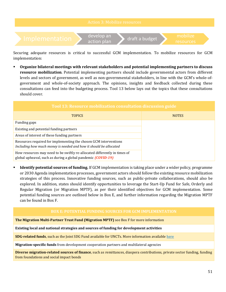

Securing adequate resources is critical to successful GCM implementation. To mobilize resources for GCM implementation:

▪ **Organize bilateral meetings with relevant stakeholders and potential implementing partners to discuss resource mobilization**. Potential implementing partners should include governmental actors from different levels and sectors of government, as well as non-governmental stakeholders, in line with the GCM's whole-ofgovernment and whole-of-society approach. The opinions, insights and feedback collected during these consultations can feed into the budgeting process. Tool 13 below lays out the topics that these consultations should cover.

| Tool 13: Resource mobilization consultation discussion guide                                                                                     |              |  |  |
|--------------------------------------------------------------------------------------------------------------------------------------------------|--------------|--|--|
| <b>TOPICS</b>                                                                                                                                    | <b>NOTES</b> |  |  |
| Funding gaps                                                                                                                                     |              |  |  |
| Existing and potential funding partners                                                                                                          |              |  |  |
| Areas of interest of these funding partners                                                                                                      |              |  |  |
| Resources required for implementing the chosen GCM interventions<br>Including how much money is needed and how it should be allocated            |              |  |  |
| How resources may need to be swiftly re-allocated differently in times of<br>global upheaval, such as during a global pandemic <i>(COVID-19)</i> |              |  |  |

**EXECUTE:** Identify potential sources of funding. If GCM implementation is taking place under a wider policy, programme or 2030 Agenda implementation processes, government actors should follow the existing resource mobilization strategies of this process. Innovative funding sources, such as public-private collaborations, should also be explored. In addition, states should identify opportunities to leverage the Start-Up Fund for Safe, Orderly and Regular Migration (or Migration MPTF), as per their identified objectives for GCM implementation. Some potential funding sources are outlined below in Box E, and further information regarding the Migration MPTF can be found in Box F.

#### **BOX E: POTENTIAL FUNDING SOURCES FOR GCM IMPLEMENTATION**

**The Migration Multi-Partner Trust Fund (Migration MPTF)** see Box F for more information

**Existing local and national strategies and sources of funding for development activities**

**SDG-related funds**, such as the Joint SDG Fund available for UNCTs. More information availabl[e here](https://jointsdgfund.org/)

**Migration-specific funds** from development cooperation partners and multilateral agencies

**Diverse migration-related sources of finance**, such as remittances, diaspora contributions, private sector funding, funding from foundations and social impact bonds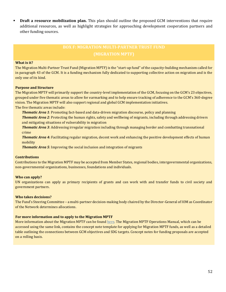**• Draft a resource mobilization plan.** This plan should outline the proposed GCM interventions that require additional resources, as well as highlight strategies for approaching development cooperation partners and other funding sources.

## **BOX F: MIGRATION MULTI-PARTNER TRUST FUND**

#### **What is it?**

The Migration Multi-Partner Trust Fund (Migration MPTF) is the "start-up fund" of the capacity-building mechanism called for in paragraph 43 of the GCM. It is a funding mechanism fully dedicated to supporting collective action on migration and is the only one of its kind.

#### **Purpose and Structure**

The Migration MPTF will primarily support the country-level implementation of the GCM, focusing on the GCM's 23 objectives, grouped under five thematic areas to allow for earmarking and to help ensure tracking of adherence to the GCM's 360-degree vision. The Migration MPTF will also support regional and global GCM implementation initiatives. The five thematic areas include:

*Thematic Area 1*: Promoting fact-based and data-driven migration discourse, policy and planning

*Thematic Area 2*: Protecting the human rights, safety and wellbeing of migrants, including through addressing drivers and mitigating situations of vulnerability in migration

*Thematic Area 3*: Addressing irregular migration including through managing border and combatting transnational crime

*Thematic Area 4***:** Facilitating regular migration, decent work and enhancing the positive development effects of human mobility

*Thematic Area 5*: Improving the social inclusion and integration of migrants

#### **Contributions**

Contributions to the Migration MPTF may be accepted from Member States, regional bodies, intergovernmental organizations, non-governmental organizations, businesses, foundations and individuals.

#### **Who can apply?**

UN organizations can apply as primary recipients of grants and can work with and transfer funds to civil society and government partners.

#### **Who takes decisions?**

The Fund's Steering Committee – a multi-partner decision-making body chaired by the Director-General of IOM as Coordinator of the Network determines allocations.

#### **For more information and to apply to the Migration MPTF**

More information about the Migration MPTF can be foun[d here.](http://mptf.undp.org/factsheet/fund/MIG00) The Migration MPTF Operations Manual, which can be accessed using the same link, contains the concept note template for applying for Migration MPTF funds, as well as a detailed table outlining the connections between GCM objectives and SDG targets. Concept notes for funding proposals are accepted on a rolling basis.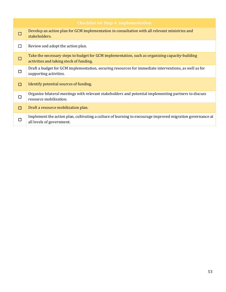| <b>Checklist for Step 4: Implementation</b> |                                                                                                                                            |  |  |
|---------------------------------------------|--------------------------------------------------------------------------------------------------------------------------------------------|--|--|
|                                             | Develop an action plan for GCM implementation in consultation with all relevant ministries and<br>stakeholders.                            |  |  |
| П                                           | Review and adopt the action plan.                                                                                                          |  |  |
| $\Box$                                      | Take the necessary steps to budget for GCM implementation, such as organizing capacity-building<br>activities and taking stock of funding. |  |  |
| П                                           | Draft a budget for GCM implementation, securing resources for immediate interventions, as well as for<br>supporting activities.            |  |  |
| □                                           | Identify potential sources of funding.                                                                                                     |  |  |
| □                                           | Organize bilateral meetings with relevant stakeholders and potential implementing partners to discuss<br>resource mobilization.            |  |  |
| п                                           | Draft a resource mobilization plan.                                                                                                        |  |  |
| П                                           | Implement the action plan, cultivating a culture of learning to encourage improved migration governance at<br>all levels of government.    |  |  |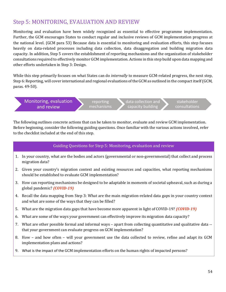## Step 5: MONITORING, EVALUATION AND REVIEW

Monitoring and evaluation have been widely recognized as essential to effective programme implementation. Further, the GCM encourages States to conduct regular and inclusive reviews of GCM implementation progress at the national level. (GCM para 53) Because data is essential to monitoring and evaluation efforts, this step focuses heavily on data-related processes including data collection, data disaggregation and building migration data capacity. In addition, Step 5 covers the establishment of reporting mechanisms and the organization of stakeholder consultations required to effectively monitor GCM implementation. Actions in this step build upon data mapping and other efforts undertaken in Step 3: Design.

While this step primarily focuses on what States can do *internally* to measure GCM-related progress, the next step, Step 6: Reporting, will cover international and regional evaluations of the GCM as outlined in the compact itself (GCM, paras. 49-50).

Monitoring, evaluation and review

reporting mechanisms data collection and capacity building

stakeholder consultations

The following outlines concrete actions that can be taken to monitor, evaluate and review GCM implementation. Before beginning, consider the following guiding questions. Once familiar with the various actions involved, refer to the checklist included at the end of this step.

#### Guiding Questions for Step 5: Monitoring, evaluation and review

- 1. In your country, what are the bodies and actors (governmental or non-governmental) that collect and process migration data?
- 2. Given your country's migration context and existing resources and capacities, what reporting mechanisms should be established to evaluate GCM implementation?
- 3. How can reporting mechanisms be designed to be adaptable in moments of societal upheaval, such as during a global pandemic? *(COVID-19)*
- 4. Recall the data mapping from Step 3: What are the main migration-related data gaps in your country context and what are some of the ways that they can be filled?
- 5. What are the migration data gaps that have become more apparent in light of COVID-19? *(COVID-19)*
- 6. What are some of the ways your government can effectively improve its migration data capacity?
- 7. What are other possible formal and informal ways apart from collecting quantitative and qualitative data that your government can evaluate progress on GCM implementation?
- 8. How and how often will your government use the data collected to review, refine and adapt its GCM implementation plans and actions?
- 9. What is the impact of the GCM implementation efforts on the human rights of impacted persons?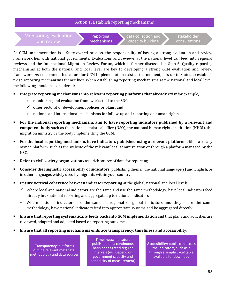#### Action 1: Establish reporting mechanisms

Monitoring, evaluation and review

reporting mechanisms data collection and capacity building

stakeholder consultations

As GCM implementation is a State-owned process, the responsibility of having a strong evaluation and review framework lies with national governments. Evaluations and reviews at the national level can feed into regional reviews and the International Migration Review Forum, which is further discussed in Step 6. Quality reporting mechanisms at both the national and local level are key to developing a strong GCM evaluation and review framework. As no common indicators for GCM implementation exist at the moment, it is up to States to establish these reporting mechanisms themselves. When establishing reporting mechanisms at the national and local level, the following should be considered:

- **Integrate reporting mechanisms into relevant reporting platforms that already exist** for example,
	- $\checkmark$  monitoring and evaluation frameworks tied to the SDGs
	- $\checkmark$  other sectoral or development policies or plans; and
	- $\checkmark$  national and international mechanisms for follow-up and reporting on human rights.
- **For the national reporting mechanism, aim to have reporting indicators published by a relevant and competent body** such as the national statistical office (NSO), the national human rights institution (NHRI), the migration ministry or the body implementing the GCM.
- **For the local reporting mechanism, have indicators published using a relevant platform**: either a locally owned platform, such as the website of the relevant local administration or through a platform managed by the NSO.
- **Refer to civil society organizations** as a rich source of data for reporting.
- **Consider the linguistic accessibility of indicators,** publishing them in the national language(s) and English, or in other languages widely used by migrants within your country.
- **Ensure vertical coherence between indicator reporting** at the global, national and local levels.
	- $\checkmark$  Where local and national indicators are the same and use the same methodology, have local indicators feed directly into national reporting and aggregate up to national indicators
	- $\checkmark$  Where national indicators are the same as regional or global indicators and they share the same methodology, have national indicators feed into appropriate systems and be aggregated directly
- **Ensure that reporting systematically feeds back into GCM implementation** and that plans and activities are reviewed, adapted and adjusted based on reporting outcomes.
- **Ensure that all reporting mechanisms embrace transparency, timeliness and accessibility:**

**Transparency**: platforms outline relevant metadata, methodology and data sources

**Timeliness**: indicators published on a continuous basis or at agreed regular intervals (will depend on government capacity and periodicity of measurement)

**Accessibility**: public can access the indicators, such as a through a simple Excel table available for download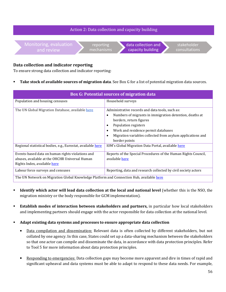

#### **Data collection and indicator reporting**

To ensure strong data collection and indicator reporting:

**Take stock of available sources of migration data**. See Box G for a list of potential migration data sources.

| <b>Box G: Potential sources of migration data</b>                                                                                  |                                                                                                                                                                                                                                                                                                                            |  |  |
|------------------------------------------------------------------------------------------------------------------------------------|----------------------------------------------------------------------------------------------------------------------------------------------------------------------------------------------------------------------------------------------------------------------------------------------------------------------------|--|--|
| Population and housing censuses                                                                                                    | Household surveys                                                                                                                                                                                                                                                                                                          |  |  |
| The UN Global Migration Database, available here                                                                                   | Administrative records and data tools, such as:<br>Numbers of migrants in immigration detention, deaths at<br>$\bullet$<br>borders, return figures<br>Population registers<br>$\bullet$<br>Work and residence permit databases<br>Migration variables collected from asylum applications and<br>$\bullet$<br>border points |  |  |
| Regional statistical bodies, e.g., Eurostat, available here                                                                        | IOM's Global Migration Data Portal, available here                                                                                                                                                                                                                                                                         |  |  |
| Events-based data on human rights violations and<br>abuses, available at the OHCHR Universal Human<br>Rights Index, available here | Reports of the Special Procedures of the Human Rights Council,<br>available here                                                                                                                                                                                                                                           |  |  |
| Labour force surveys and censuses                                                                                                  | Reporting, data and research collected by civil society actors                                                                                                                                                                                                                                                             |  |  |
| The UN Network on Migration Global Knowledge Platform and Connection Hub, available here                                           |                                                                                                                                                                                                                                                                                                                            |  |  |

- **Example 1 Identify which actor will lead data collection at the local and national level** (whether this is the NSO, the migration ministry or the body responsible for GCM implementation).
- **Establish modes of interaction between stakeholders and partners, in particular how local stakeholders** and implementing partners should engage with the actor responsible for data collection at the national level.
- **Adapt existing data systems and processes to ensure appropriate data collection**
	- Data compilation and dissemination: Relevant data is often collected by different stakeholders, but not collated by one agency. In this case, States could set up a data-sharing mechanism between the stakeholders so that one actor can compile and disseminate the data, in accordance with data protection principles. Refer to Tool 5 for more information about data protection principles.
	- Responding to emergencies: Data collection gaps may become more apparent and dire in times of rapid and significant upheaval and data systems must be able to adapt to respond to these data needs. For example,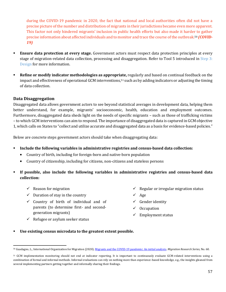during the COVID-19 pandemic in 2020, the fact that national and local authorities often did not have a precise picture of the number and distribution of migrants in their jurisdictions became even more apparent. This factor not only hindered migrants' inclusion in public health efforts but also made it harder to gather precise information about affected individuals and to monitor and trace the course of the outbreak.<sup>50</sup> *(COVID-19)* 

- **Ensure data protection at every stage.** Government actors must respect data protection principles at every stage of migration-related data collection, processing and disaggregation. Refer to Tool 5 introduced in Step 3: Design for more information.
- **Refine or modify indicator methodologies as appropriate,** regularly and based on continual feedback on the impact and effectiveness of operational GCM interventions,<sup>51</sup> such as by adding indicators or adjusting the timing of data collection.

#### **Data Disaggregation**

Disaggregated data allows government actors to see beyond statistical averages in development data, helping them better understand, for example, migrants' socioeconomic, health, education and employment outcomes. Furthermore, disaggregated data sheds light on the needs of specific migrants – such as those of trafficking victims – to which GCM interventions can aim to respond. The importance of disaggregated data is captured in GCM objective 1, which calls on States to "collect and utilize accurate and disaggregated data as a basis for evidence-based policies."

Below are concrete steps government actors should take when disaggregating data:

- **Include the following variables in administrative registries and census-based data collection:**
	- Country of birth, including for foreign-born and native-born population
	- Country of citizenship, including for citizens, non-citizens and stateless persons
- **If possible, also include the following variables in administrative registries and census-based data collection:** 
	- $\checkmark$  Reason for migration
	- $\checkmark$  Duration of stay in the country
	- ✓ Country of birth of individual and of parents (to determine first- and secondgeneration migrants)
- ✓ Regular or irregular migration status
- Age
- ✓ Gender identity
- **Occupation**
- $\checkmark$  Employment status
- $\checkmark$  Refugee or asylum seeker status
- Use existing census microdata to the greatest extent possible.

<sup>50</sup> Guadagno, L., International Organization for Migration (2020)[. Migrants and the COVID-19 pandemic: An initial analysis.](https://publications.iom.int/system/files/pdf/mrs-60.pdf) *Migration Research Series,* No. 60.

<sup>51</sup> GCM implementation monitoring should not end at indicator reporting. It is important to continuously evaluate GCM-related interventions using a combination of formal and informal methods. Informal evaluations can rely on nothing more than experience-based knowledge, e.g., the insights gleaned from several implementing partners getting together and informally sharing their findings.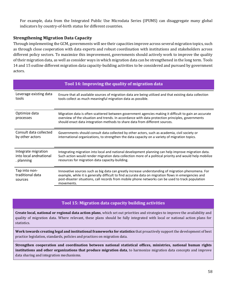For example, data from the Integrated Public Use Microdata Series (IPUMS) can disaggregate many global indicators by country-of-birth status for different countries.

#### **Strengthening Migration Data Capacity**

Through implementing the GCM, governments will see their capacities improve across several migration topics, such as through close cooperation with data experts and robust coordination with institutions and stakeholders across different policy sectors. To maximize this improvement, governments should actively work to improve the quality of their migration data, as well as consider ways in which migration data can be strengthened in the long term. Tools 14 and 15 outline different migration data capacity-building activities to be considered and pursued by government actors.

| Tool 14: Improving the quality of migration data |                                                                                                                                                                                                                                                                                                                               |  |  |
|--------------------------------------------------|-------------------------------------------------------------------------------------------------------------------------------------------------------------------------------------------------------------------------------------------------------------------------------------------------------------------------------|--|--|
| Leverage existing data                           | Ensure that all available sources of migration data are being utilized and that existing data collection                                                                                                                                                                                                                      |  |  |
| tools                                            | tools collect as much meaningful migration data as possible.                                                                                                                                                                                                                                                                  |  |  |
| Optimize data<br>processes                       | Migration data is often scattered between government agencies making it difficult to gain an accurate<br>overview of the situation and trends. In accordance with data protection principles, governments<br>should enact data integration methods to share data from different sources.                                      |  |  |
| Consult data collected                           | Governments should consult data collected by other actors, such as academia, civil society or                                                                                                                                                                                                                                 |  |  |
| by other actors                                  | international organizations, to strengthen the data capacity on a variety of migration topics.                                                                                                                                                                                                                                |  |  |
| Integrate migration                              | Integrating migration into local and national development planning can help improve migration data.                                                                                                                                                                                                                           |  |  |
| into local andnational                           | Such action would render migration data collection more of a political priority and would help mobilize                                                                                                                                                                                                                       |  |  |
| . planning                                       | resources for migration data capacity-building.                                                                                                                                                                                                                                                                               |  |  |
| Tap into non-<br>traditional data<br>sources     | Innovative sources such as big data can greatly increase understanding of migration phenomena. For<br>example, while it is generally difficult to find accurate data on migration flows in emergencies and<br>post-disaster situations, call records from mobile phone networks can be used to track population<br>movements. |  |  |

#### **Tool 15: Migration data capacity building activities**

**Create local, national or regional data action plans**, which set out priorities and strategies to improve the availability and quality of migration data. Where relevant, these plans should be fully integrated with local or national action plans for statistics.

**Work towards creating legal and institutional frameworks for statistics** that proactively support the development of best practice legislation, standards, policies and practices on migration data.

**Strengthen cooperation and coordination between national statistical offices, ministries, national human rights institutions and other organizations that produce migration data**, to harmonize migration data concepts and improve data sharing and integration mechanisms.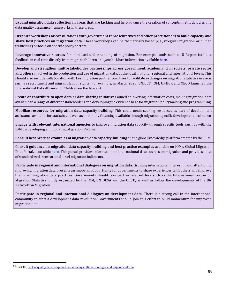**Expand migration data collection in areas that are lacking** and help advance the creation of concepts, methodologies and data quality assurance frameworks in these areas.

**Organize workshops or consultations with government representatives and other practitioners to build capacity and share best practices on migration data**. These workshops can be thematically based (e.g., irregular migration or human trafficking) or focus on specific policy sectors.

**Leverage innovative sources** for increased understanding of migration. For example, tools such as U-Report facilitate feedback in real time directly from migrant children and youth. More information available [here.](https://ureport.in/)

**Develop and strengthen multi-stakeholder partnerships across government, academia, civil society, private sector and others** involved in the production and use of migration data, at the local, national, regional and international levels. This should also include collaboration with key migration partner countries to facilitate exchanges on migration statistics in areas such as recruitment and migrant labour rights. For example, in March 2020, UNICEF, IOM, UNHCR and OECD launched the International Data Alliance for Children on the Move. 52

**Create or contribute to open data or data sharing initiatives** aimed at lowering information costs, making migration data available to a range of different stakeholders and developing the evidence base for migration policymaking and programming.

**Mobilize resources for migration data capacity-building**. This could mean seeking resources as part of development assistance available for statistics, as well as under any financing available through migration-specific development assistance.

**Engage with relevant international agencies** to improve migration data capacity through specific tools, such as with the IOM on developing and updating Migration Profiles.

**Consult best practice examples of migration data capacity-building** on the global knowledge platform created by the GCM.

**Consult guidance on migration data capacity-building and best practice examples** available on IOM's Global Migration Data Portal, accessible [here.](https://migrationdataportal.org/) This portal provides information on international data sources on migration and provides a list of standardized international-level migration indicators.

**Participate in regional and international dialogues on migration data**. Growing international interest in and attention to improving migration data presents an important opportunity for governments to share experiences with others and improve their own migration data practices. Governments should take part in relevant fora such as the International Forum on Migration Statistics jointly organized by the IOM, UN DESA and the OECD, as well as follow the developments of the UN Network on Migration.

**Participate in regional and international dialogues on development data**. There is a strong call in the international community to start a development data revolution. Governments should join this effort to build momentum for improved migration data.

<sup>&</sup>lt;sup>52</sup> UNICEF[, Lack of quality data compounds risks facing millions of refugee and migrant children.](https://www.unicef.org/press-releases/lack-quality-data-compounds-risks-facing-millions-refugee-and-migrant-children)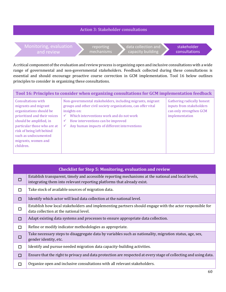#### Action 3: Stakeholder consultations

Monitoring, evaluation and review reporting mechanisms data collection and capacity building stakeholder consultations

A critical component of the evaluation and review process is organizing open and inclusive consultations with a wide range of governmental and non-governmental stakeholders. Feedback collected during these consultations is essential and should encourage proactive course correction in GCM implementation. Tool 16 below outlines principles to consider in organizing these consultations.

| Tool 16: Principles to consider when organizing consultations for GCM implementation feedback                                                                                                                                                                   |                                                                                                                                                                                                                                                                                                                              |                                                                                                     |  |
|-----------------------------------------------------------------------------------------------------------------------------------------------------------------------------------------------------------------------------------------------------------------|------------------------------------------------------------------------------------------------------------------------------------------------------------------------------------------------------------------------------------------------------------------------------------------------------------------------------|-----------------------------------------------------------------------------------------------------|--|
| <b>Consultations with</b><br>migrants and migrant<br>organizations should be<br>prioritized and their voices<br>should be amplified, in<br>particular those who are at<br>risk of being left behind<br>such as undocumented<br>migrants, women and<br>children. | Non-governmental stakeholders, including migrants, migrant<br>groups and other civil society organizations, can offer vital<br>insights on:<br>Which interventions work and do not work<br>$\checkmark$<br>How interventions can be improved<br>$\checkmark$<br>Any human impacts of different interventions<br>$\checkmark$ | Gathering radically honest<br>inputs from stakeholders<br>can only strengthen GCM<br>implementation |  |

| <b>Checklist for Step 5: Monitoring, evaluation and review</b> |                                                                                                                                                                               |  |  |
|----------------------------------------------------------------|-------------------------------------------------------------------------------------------------------------------------------------------------------------------------------|--|--|
| □                                                              | Establish transparent, timely and accessible reporting mechanisms at the national and local levels,<br>integrating them into relevant reporting platforms that already exist. |  |  |
| □                                                              | Take stock of available sources of migration data.                                                                                                                            |  |  |
| □                                                              | Identify which actor will lead data collection at the national level.                                                                                                         |  |  |
| □                                                              | Establish how local stakeholders and implementing partners should engage with the actor responsible for<br>data collection at the national level.                             |  |  |
| □                                                              | Adapt existing data systems and processes to ensure appropriate data collection.                                                                                              |  |  |
| П                                                              | Refine or modify indicator methodologies as appropriate.                                                                                                                      |  |  |
| □                                                              | Take necessary steps to disaggregate data by variables such as nationality, migration status, age, sex,<br>gender identity, etc.                                              |  |  |
| П                                                              | Identify and pursue needed migration data capacity-building activities.                                                                                                       |  |  |
| □                                                              | Ensure that the right to privacy and data protection are respected at every stage of collecting and using data.                                                               |  |  |
| □                                                              | Organize open and inclusive consultations with all relevant stakeholders.                                                                                                     |  |  |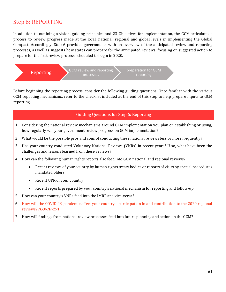## Step 6: REPORTING

In addition to outlining a vision, guiding principles and 23 Objectives for implementation, the GCM articulates a process to review progress made at the local, national, regional and global levels in implementing the Global Compact. Accordingly, Step 6 provides governments with an overview of the anticipated review and reporting processes, as well as suggests how states can prepare for the anticipated reviews, focusing on suggested action to prepare for the first review process scheduled to begin in 2020.



Before beginning the reporting process, consider the following guiding questions. Once familiar with the various GCM reporting mechanisms, refer to the checklist included at the end of this step to help prepare inputs to GCM reporting.

#### Guiding Questions for Step 6: Reporting

- 1. Considering the national review mechanisms around GCM implementation you plan on establishing or using, how regularly will your government review progress on GCM implementation?
- 2. What would be the possible pros and cons of conducting these national reviews less or more frequently?
- 3. Has your country conducted Voluntary National Reviews (VNRs) in recent years? If so, what have been the challenges and lessons learned from these reviews?
- 4. How can the following human rights reports also feed into GCM national and regional reviews?
	- Recent reviews of your country by human rights treaty bodies or reports of visits by special procedures mandate holders
	- Recent UPR of your country
	- Recent reports prepared by your country's national mechanism for reporting and follow-up
- 5. How can your country's VNRs feed into the IMRF and vice-versa?
- 6. How will the COVID-19 pandemic affect your country's participation in and contribution to the 2020 regional reviews? *(COVID-19)*
- 7. How will findings from national review processes feed into future planning and action on the GCM?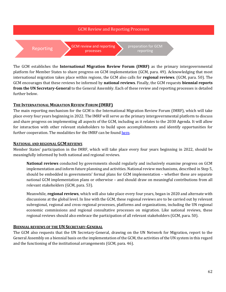

The GCM establishes the **International Migration Review Forum (IMRF)** as the primary intergovernmental platform for Member States to share progress on GCM implementation (GCM, para. 49). Acknowledging that most international migration takes place within regions, the GCM also calls for **regional reviews**. (GCM, para. 50). The GCM encourages that these reviews be informed by **national reviews**. Finally, the GCM requests **biennial reports from the UN Secretary-General** to the General Assembly. Each of these review and reporting processes is detailed further below.

#### **THE INTERNATIONAL MIGRATION REVIEW FORUM (IMRF)**

The main reporting mechanism for the GCM is the International Migration Review Forum (IMRF), which will take place every four years beginning in 2022. The IMRF will serve as the primary intergovernmental platform to discuss and share progress on implementing all aspects of the GCM, including as it relates to the 2030 Agenda. It will allow for interaction with other relevant stakeholders to build upon accomplishments and identify opportunities for further cooperation. The modalities for the IMRF can be foun[d here.](https://undocs.org/en/A/RES/73/326)

#### **NATIONAL AND REGIONAL GCM REVIEWS**

Member States' participation in the IMRF, which will take place every four years beginning in 2022, should be meaningfully informed by both national and regional reviews.

**National reviews** conducted by governments should regularly and inclusively examine progress on GCM implementation and inform future planning and activities. National review mechanisms, described in Step 5, should be embedded in governments' formal plans for GCM implementation – whether these are separate national GCM implementation plans or otherwise – and should draw on meaningful contributions from all relevant stakeholders (GCM, para. 53).

Meanwhile, **regional reviews**, which will also take place every four years, began in 2020 and alternate with discussions at the global level. In line with the GCM, these regional reviews are to be carried out by relevant subregional, regional and cross-regional processes, platforms and organizations, including the UN regional economic commissions and regional consultative processes on migration. Like national reviews, these regional reviews should also embrace the participation of all relevant stakeholders (GCM, para. 50).

#### **BIENNIAL REVIEWS OF THE UN SECRETARY-GENERAL**

The GCM also requests that the UN Secretary-General, drawing on the UN Network for Migration, report to the General Assembly on a biennial basis on the implementation of the GCM, the activities of the UN system in this regard and the functioning of the institutional arrangements (GCM, para. 46).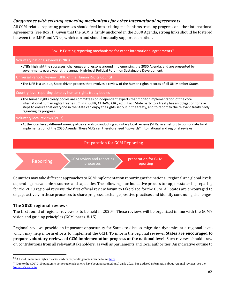#### *Congruence with existing reporting mechanisms for other international agreements*

All GCM-related reporting processes should feed into existing mechanisms tracking progress on other international agreements (see Box H). Given that the GCM is firmly anchored in the 2030 Agenda, strong links should be fostered between the IMRF and VNRs, which can and should mutually support each other.







preparation for GCM reporting

Countries may take different approaches to GCM implementation reporting at the national, regional and global levels, depending on available resources and capacities. The following is an indicative process to support states in preparing for the 2020 regional reviews, the first official review forum to take place for the GCM. All States are encouraged to engage actively in these processes to share progress, exchange positive practices and identify continuing challenges.

#### **The 2020 regional reviews**

The first round of regional reviews is to be held in 2020<sup>54</sup>. These reviews will be organized in line with the GCM's vision and guiding principles (GCM, paras. 8-15).

Regional reviews provide an important opportunity for States to discuss migration dynamics at a regional level, which may help inform efforts to implement the GCM. To inform the regional reviews, **States are encouraged to prepare voluntary reviews of GCM implementation progress at the national level.** Such reviews should draw on contributions from all relevant stakeholders, as well as parliaments and local authorities. An indicative outline to

<sup>&</sup>lt;sup>53</sup> A list of the human rights treaties and corresponding bodies can be foun[d here.](https://www.ohchr.org/EN/ProfessionalInterest/Pages/CoreInstruments.aspx)

<sup>&</sup>lt;sup>54</sup> Due to the COVID-19 pandemic, some regional reviews have been postponed until early 2021. For updated information about regional reviews, see the [Network's website](https://migrationnetwork.un.org/global-compact-migration-follow-and-review).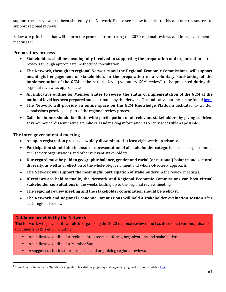support these reviews has been shared by the Network. Please see below for links to this and other resources to support regional reviews.

Below are principles that will inform the process for preparing the 2020 regional reviews and intergovernmental meetings. 55

#### **Preparatory process**

- **Stakeholders shall be meaningfully involved in supporting the preparation and organization** of the reviews through appropriate methods of consultation.
- **The Network, through its regional Networks and the Regional Economic Commissions, will support meaningful engagement of stakeholders in the preparation of a voluntary stocktaking of the implementation of the GCM** at the national level ('voluntary GCM review') to be presented during the regional review, as appropriate.
- **An indicative outline for Member States to review the status of implementation of the GCM at the national level** has been prepared and distributed by the Network. The indicative outline can be foun[d here.](https://migrationnetwork.un.org/sites/default/files/docs/indicative_outline_for_member_states.pdf)
- **The Network will provide an online space on the GCM Knowledge Platform** dedicated to written submissions provided as part of the regional review process.
- **Calls for inputs should facilitate wide participation of all relevant stakeholders** by giving sufficient advance notice, disseminating a public call and making information as widely accessible as possible.

#### **The inter-governmental meeting**

- **An open registration process is widely disseminated** at least eight weeks in advance.
- **Participation should aim to ensure representation of all stakeholder categories** in each region among civil society organizations and other relevant stakeholders.
- **Due regard must be paid to geographic balance, gender and racial (or national) balance and sectoral diversity,** as well as a reflection of the whole-of-government and whole-of-society approach.
- **The Network will support the meaningful participation of stakeholders** in the review meetings.
- **If reviews are held virtually, the Network and Regional Economic Commissions can host virtual stakeholder consultations** in the weeks leading up to the regional review meeting.
- **The regional review meeting and the stakeholder consultation should be webcast.**
- **The Network and Regional Economic Commissions will hold a stakeholder evaluation session** after each regional review.

#### **Guidance provided by the Network**

The Network will play a critical role in organizing the 2020 regional reviews and has developed various guidance documents to this end, including:

- An indicative outline for regional processes, platforms, organizations and stakeholders
- An indicative outline for Member States
- A suggested checklist for preparing and organizing regional reviews

<sup>&</sup>lt;sup>55</sup> Based on UN Network on Migration's suggested checklist for preparing and organizing regional reviews, available [here.](https://migrationnetwork.un.org/sites/default/files/docs/checklist_.pdf)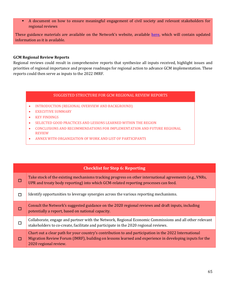■ A document on how to ensure meaningful engagement of civil society and relevant stakeholders for regional reviews

These guidance materials are available on the Network's website, available [here,](https://migrationnetwork.un.org/global-compact-migration-follow-and-review) which will contain updated information as it is available.

#### **GCM Regional Review Reports**

Regional reviews could result in comprehensive reports that synthesize all inputs received, highlight issues and priorities of regional importance and propose roadmaps for regional action to advance GCM implementation. These reports could then serve as inputs to the 2022 IMRF.

#### SUGGESTED STRUCTURE FOR GCM REGIONAL REVIEW REPORTS

- INTRODUCTION (REGIONAL OVERVIEW AND BACKGROUND)
- EXECUTIVE SUMMARY
- KEY FINDINGS
- SELECTED GOOD PRACTICES AND LESSONS LEARNED WITHIN THE REGION
- CONCLUSIONS AND RECOMMENDATIONS FOR IMPLEMENTATION AND FUTURE REGIONAL REVIEW
- ANNEX WITH ORGANIZATION OF WORK AND LIST OF PARTICIPANTS

|   | <b>Checklist for Step 6: Reporting</b>                                                                                                                                                                                                   |  |  |  |
|---|------------------------------------------------------------------------------------------------------------------------------------------------------------------------------------------------------------------------------------------|--|--|--|
|   | Take stock of the existing mechanisms tracking progress on other international agreements (e.g., VNRs,<br>UPR and treaty body reporting) into which GCM-related reporting processes can feed.                                            |  |  |  |
| П | Identify opportunities to leverage synergies across the various reporting mechanisms.                                                                                                                                                    |  |  |  |
|   | Consult the Network's suggested guidance on the 2020 regional reviews and draft inputs, including<br>potentially a report, based on national capacity.                                                                                   |  |  |  |
|   | Collaborate, engage and partner with the Network, Regional Economic Commissions and all other relevant<br>stakeholders to co-create, facilitate and participate in the 2020 regional reviews.                                            |  |  |  |
|   | Chart out a clear path for your country's contribution to and participation in the 2022 International<br>Migration Review Forum (IMRF), building on lessons learned and experience in developing inputs for the<br>2020 regional review. |  |  |  |
|   |                                                                                                                                                                                                                                          |  |  |  |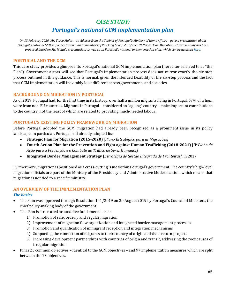## *CASE STUDY:*

## *Portugal's national GCM implementation plan*

*On 13 February 2020, Mr. Vasco Malta – an Advisor from the Cabinet of Portugal's Ministry of Home Affairs – gave a presentation about Portugal's national GCM implementation plan to members of Working Group 2.2 of the UN Network on Migration. This case study has been prepared based on Mr. Malta's presentation, as well as on Portugal's national implementation plan, which can be accesse[d here.](https://www.portaldiplomatico.mne.gov.pt/en/foreign-policy/multilateral-affairs/the-national-implementation-plan-of-the-global-compact-for-migration)*

#### **PORTUGAL AND THE GCM**

This case study provides a glimpse into Portugal's national GCM implementation plan (hereafter referred to as "the Plan"). Government actors will see that Portugal's implementation process does not mirror exactly the six-step process outlined in this guidance. This is normal, given the intended flexibility of the six-step process and the fact that GCM implementation will inevitably look different across governments and societies.

#### **BACKGROUND ON MIGRATION IN PORTUGAL**

As of 2019, Portugal had, for the first time in its history, over half a million migrants living in Portugal, 67% of whom were from non-EU countries. Migrants in Portugal – considered an "ageing" country – make important contributions to the country, not the least of which are related to providing much-needed labour.

#### **PORTUGAL'S EXISTING POLICY FRAMEWORK ON MIGRATION**

Before Portugal adopted the GCM, migration had already been recognized as a prominent issue in its policy landscape. In particular, Portugal had already adopted its:

- **Strategic Plan for Migration (2015-2020)** [*Plano Estratégico para as Migrações]*
- **Fourth Action Plan for the Prevention and Fight against Human Trafficking (2018-2021)** [*IV Plano de Ação para a Prevenção e o Combate ao Tráfico de Seres Humanos]*
- **Integrated Border Management Strategy** [*Estratégia de Gestão Integrada de Fronteiras]*, in 2017

Furthermore, migration is positioned as a cross-cutting issue within Portugal's government. The country's high-level migration officials are part of the Ministry of the Presidency and Administrative Modernization, which means that migration is not tied to a specific ministry.

#### **AN OVERVIEW OF THE IMPLEMENTATION PLAN**

#### *The basics*

- The Plan was approved through Resolution 141/2019 on 20 August 2019 by Portugal's Council of Ministers, the chief policy-making body of the government.
- The Plan is structured around five fundamental axes:
	- 1) Promotion of safe, orderly and regular migration
	- 2) Improvement of migration flow organization and integrated border management processes
	- 3) Promotion and qualification of immigrant reception and integration mechanisms
	- 4) Supporting the connection of migrants to their country of origin and their return projects
	- 5) Increasing development partnerships with countries of origin and transit, addressing the root causes of irregular migration
- It has 23 common objectives identical to the GCM objectives and 97 implementation measures which are split between the 23 objectives.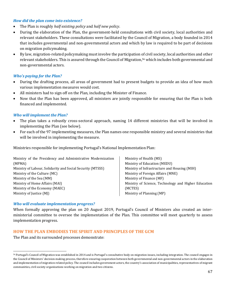#### *How did the plan come into existence?*

- The Plan is roughly *half existing policy* and *half new policy*.
- During the elaboration of the Plan, the government-held consultations with civil society, local authorities and relevant stakeholders. These consultations were facilitated by the Council of Migration, a body founded in 2014 that includes governmental and non-governmental actors and which by law is required to be part of decisions on migration policymaking.
- By law, migration-related policymaking must involve the participation of civil society, local authorities and other relevant stakeholders. This is assured through the Council of Migration,<sup>56</sup> which includes both governmental and non-governmental actors.

#### *Who's paying for the Plan?*

- During the drafting process, all areas of government had to present budgets to provide an idea of how much various implementation measures would cost.
- All ministers had to sign off on the Plan, including the Minister of Finance.
- Now that the Plan has been approved, all ministers are jointly responsible for ensuring that the Plan is both financed and implemented.

#### *Who will implement the Plan?*

- The plan takes a robustly cross-sectoral approach, naming 14 different ministries that will be involved in implementing the Plan (see below).
- For each of the 97 implementing measures, the Plan names one responsible ministry and several ministries that will be involved in implementing the measure.

Ministries responsible for implementing Portugal's National Implementation Plan:

Ministry of the Presidency and Administrative Modernization (MPMA) Ministry of Labour, Solidarity and Social Security (MTSSS) Ministry of the Culture (MC) Ministry of the Sea (MM) Ministry of Home Affairs (MAI) Ministry of the Economy (MAEC) Ministry of Justice (MJ)

Ministry of Health (MS) Ministry of Education (MEDU) Ministry of Infrastructure and Housing (MIH) Ministry of Foreign Affairs (MNE) Ministry of Finance (MF) Ministry of Science, Technology and Higher Education (MCTES) Ministry of Planning (MP)

#### *Who will evaluate implementation progress?*

When formally approving the plan on 20 August 2019, Portugal's Council of Ministers also created an interministerial committee to oversee the implementation of the Plan. This committee will meet quarterly to assess implementation progress.

#### **HOW THE PLAN EMBODIES THE SPIRIT AND PRINCIPLES OF THE GCM**

The Plan and its surrounded processes demonstrate:

<sup>56</sup> Portugal's Council of Migration was established in 2014 and is Portugal's consultative body on migration issues, including integration. The council engages in the Council of Ministers' decision-making process, therefore ensuring cooperation between both governmental and non-governmental actors in the elaboration and implementation of migration-related policy. The council includes government actors, the country's association of municipalities, representatives of migrant communities, civil society organizations working on migration and two citizens.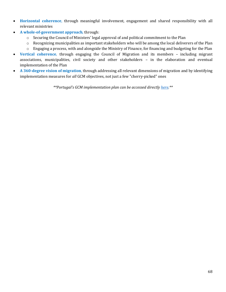- **Horizontal coherence**, through meaningful involvement, engagement and shared responsibility with all relevant ministries
- **A whole-of-government approach**, through:
	- o Securing the Council of Ministers' legal approval of and political commitment to the Plan
	- o Recognizing municipalities as important stakeholders who will be among the local deliverers of the Plan
	- o Engaging a process, with and alongside the Ministry of Finance, for financing and budgeting for the Plan
- **Vertical coherence**, through engaging the Council of Migration and its members including migrant associations, municipalities, civil society and other stakeholders – in the elaboration and eventual implementation of the Plan
- **A 360-degree vision of migration**, through addressing all relevant dimensions of migration and by identifying implementation measures for *all* GCM objectives, not just a few "cherry-picked" ones

*\*\*Portugal's GCM implementation plan can be accessed directly [here.\\*](https://www.portaldiplomatico.mne.gov.pt/en/foreign-policy/multilateral-affairs/the-national-implementation-plan-of-the-global-compact-for-migration)\**